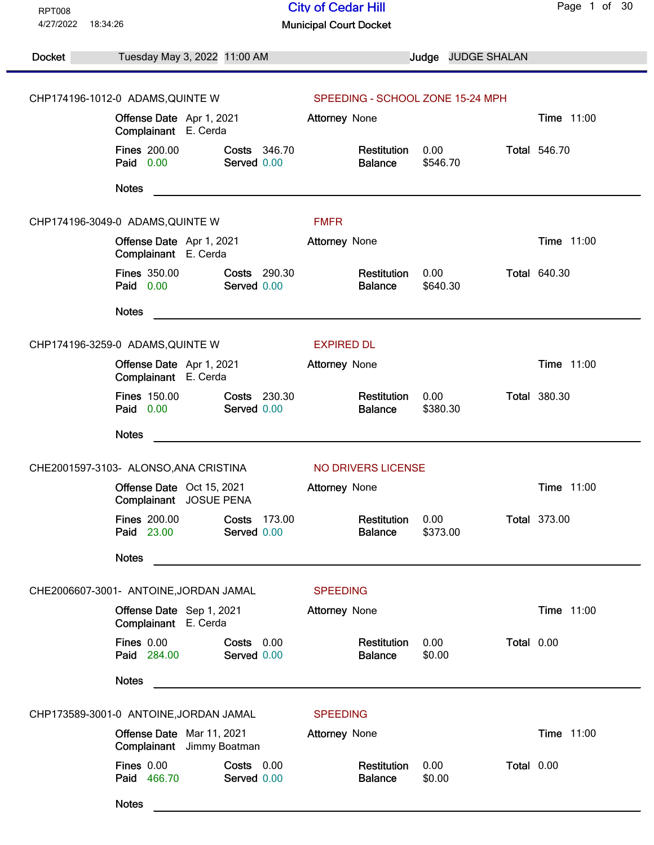| <b>RPT008</b>                                         |                                                        |                             | <b>City of Cedar Hill</b>        |                    | Page 1 of 30        |
|-------------------------------------------------------|--------------------------------------------------------|-----------------------------|----------------------------------|--------------------|---------------------|
| 4/27/2022<br>18:34:26                                 |                                                        |                             | <b>Municipal Court Docket</b>    |                    |                     |
| Docket                                                | Tuesday May 3, 2022 11:00 AM                           |                             |                                  | Judge JUDGE SHALAN |                     |
|                                                       | CHP174196-1012-0 ADAMS, QUINTE W                       |                             | SPEEDING - SCHOOL ZONE 15-24 MPH |                    |                     |
|                                                       | Offense Date Apr 1, 2021<br>Complainant E. Cerda       |                             | <b>Attorney None</b>             |                    | <b>Time 11:00</b>   |
|                                                       | <b>Fines 200.00</b><br>Paid 0.00                       | Costs 346.70<br>Served 0.00 | Restitution<br><b>Balance</b>    | 0.00<br>\$546.70   | <b>Total 546.70</b> |
|                                                       | <b>Notes</b>                                           |                             |                                  |                    |                     |
|                                                       | CHP174196-3049-0 ADAMS, QUINTE W                       |                             | <b>FMFR</b>                      |                    |                     |
|                                                       | Offense Date Apr 1, 2021<br>Complainant E. Cerda       |                             | <b>Attorney None</b>             |                    | Time 11:00          |
|                                                       | <b>Fines 350.00</b><br>Paid 0.00                       | Costs 290.30<br>Served 0.00 | Restitution<br><b>Balance</b>    | 0.00<br>\$640.30   | <b>Total 640.30</b> |
|                                                       | <b>Notes</b>                                           |                             |                                  |                    |                     |
| CHP174196-3259-0 ADAMS, QUINTE W<br><b>EXPIRED DL</b> |                                                        |                             |                                  |                    |                     |
|                                                       | Offense Date Apr 1, 2021<br>Complainant E. Cerda       |                             | Attorney None                    |                    | Time 11:00          |
|                                                       | <b>Fines 150.00</b><br>Paid 0.00                       | Costs 230.30<br>Served 0.00 | Restitution<br><b>Balance</b>    | 0.00<br>\$380.30   | <b>Total 380.30</b> |
|                                                       | <b>Notes</b>                                           |                             |                                  |                    |                     |
|                                                       | CHE2001597-3103- ALONSO, ANA CRISTINA                  |                             | NO DRIVERS LICENSE               |                    |                     |
|                                                       | Offense Date Oct 15, 2021<br>Complainant JOSUE PENA    |                             | <b>Attorney None</b>             |                    | Time 11:00          |
|                                                       | <b>Fines 200.00</b><br>Paid 23.00                      | Costs 173.00<br>Served 0.00 | Restitution<br><b>Balance</b>    | 0.00<br>\$373.00   | <b>Total 373.00</b> |
|                                                       | <b>Notes</b>                                           |                             |                                  |                    |                     |
|                                                       | CHE2006607-3001- ANTOINE, JORDAN JAMAL                 |                             | <b>SPEEDING</b>                  |                    |                     |
|                                                       | Offense Date Sep 1, 2021<br>Complainant E. Cerda       |                             | <b>Attorney None</b>             |                    | Time 11:00          |
|                                                       | Fines 0.00<br>Paid 284.00                              | Costs 0.00<br>Served 0.00   | Restitution<br><b>Balance</b>    | 0.00<br>\$0.00     | Total 0.00          |
|                                                       | <b>Notes</b>                                           |                             |                                  |                    |                     |
|                                                       | CHP173589-3001-0 ANTOINE, JORDAN JAMAL                 |                             | <b>SPEEDING</b>                  |                    |                     |
|                                                       | Offense Date Mar 11, 2021<br>Complainant Jimmy Boatman |                             | <b>Attorney None</b>             |                    | Time 11:00          |
|                                                       | <b>Fines 0.00</b><br>Paid 466.70                       | Costs 0.00<br>Served 0.00   | Restitution<br><b>Balance</b>    | 0.00<br>\$0.00     | Total 0.00          |
|                                                       | <b>Notes</b>                                           |                             |                                  |                    |                     |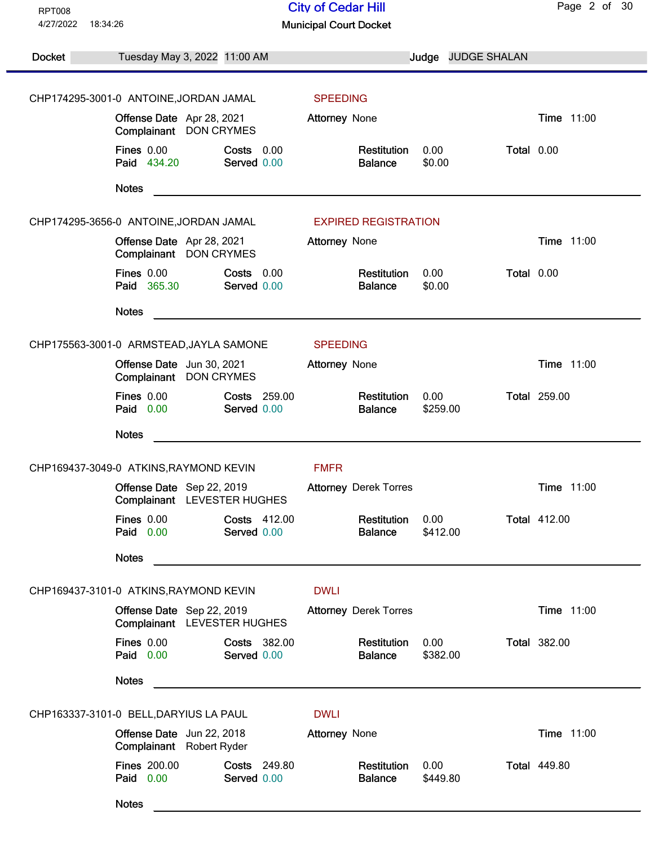| 4/27/2022<br>18:34:26<br><b>Municipal Court Docket</b><br>Docket<br>Judge JUDGE SHALAN<br>Tuesday May 3, 2022 11:00 AM<br>CHP174295-3001-0 ANTOINE, JORDAN JAMAL<br><b>SPEEDING</b><br>Time 11:00<br>Offense Date Apr 28, 2021<br><b>Attorney None</b><br>Complainant DON CRYMES<br>Fines $0.00$<br>0.00<br>Total 0.00<br>Costs 0.00<br>Restitution<br>Paid 434.20<br>Served 0.00<br>\$0.00<br><b>Balance</b><br><b>Notes</b><br>CHP174295-3656-0 ANTOINE, JORDAN JAMAL<br><b>EXPIRED REGISTRATION</b><br>Time 11:00<br>Offense Date Apr 28, 2021<br>Attorney None<br>Complainant DON CRYMES<br><b>Fines 0.00</b><br>0.00<br>Total 0.00<br>Costs 0.00<br>Restitution<br>Paid 365.30<br>Served 0.00<br><b>Balance</b><br>\$0.00<br><b>Notes</b><br>CHP175563-3001-0 ARMSTEAD, JAYLA SAMONE<br><b>SPEEDING</b><br>Time 11:00<br>Offense Date Jun 30, 2021<br>Attorney None<br>Complainant DON CRYMES<br><b>Fines 0.00</b><br>Costs 259.00<br>Restitution<br><b>Total 259.00</b><br>0.00<br>Paid 0.00<br>Served 0.00<br><b>Balance</b><br>\$259.00<br><b>Notes</b><br><b>FMFR</b><br>CHP169437-3049-0 ATKINS, RAYMOND KEVIN<br>Time 11:00<br>Offense Date Sep 22, 2019<br><b>Attorney Derek Torres</b><br>Complainant<br>LEVESTER HUGHES |
|---------------------------------------------------------------------------------------------------------------------------------------------------------------------------------------------------------------------------------------------------------------------------------------------------------------------------------------------------------------------------------------------------------------------------------------------------------------------------------------------------------------------------------------------------------------------------------------------------------------------------------------------------------------------------------------------------------------------------------------------------------------------------------------------------------------------------------------------------------------------------------------------------------------------------------------------------------------------------------------------------------------------------------------------------------------------------------------------------------------------------------------------------------------------------------------------------------------------------------------|
|                                                                                                                                                                                                                                                                                                                                                                                                                                                                                                                                                                                                                                                                                                                                                                                                                                                                                                                                                                                                                                                                                                                                                                                                                                       |
|                                                                                                                                                                                                                                                                                                                                                                                                                                                                                                                                                                                                                                                                                                                                                                                                                                                                                                                                                                                                                                                                                                                                                                                                                                       |
|                                                                                                                                                                                                                                                                                                                                                                                                                                                                                                                                                                                                                                                                                                                                                                                                                                                                                                                                                                                                                                                                                                                                                                                                                                       |
|                                                                                                                                                                                                                                                                                                                                                                                                                                                                                                                                                                                                                                                                                                                                                                                                                                                                                                                                                                                                                                                                                                                                                                                                                                       |
|                                                                                                                                                                                                                                                                                                                                                                                                                                                                                                                                                                                                                                                                                                                                                                                                                                                                                                                                                                                                                                                                                                                                                                                                                                       |
|                                                                                                                                                                                                                                                                                                                                                                                                                                                                                                                                                                                                                                                                                                                                                                                                                                                                                                                                                                                                                                                                                                                                                                                                                                       |
|                                                                                                                                                                                                                                                                                                                                                                                                                                                                                                                                                                                                                                                                                                                                                                                                                                                                                                                                                                                                                                                                                                                                                                                                                                       |
|                                                                                                                                                                                                                                                                                                                                                                                                                                                                                                                                                                                                                                                                                                                                                                                                                                                                                                                                                                                                                                                                                                                                                                                                                                       |
|                                                                                                                                                                                                                                                                                                                                                                                                                                                                                                                                                                                                                                                                                                                                                                                                                                                                                                                                                                                                                                                                                                                                                                                                                                       |
|                                                                                                                                                                                                                                                                                                                                                                                                                                                                                                                                                                                                                                                                                                                                                                                                                                                                                                                                                                                                                                                                                                                                                                                                                                       |
|                                                                                                                                                                                                                                                                                                                                                                                                                                                                                                                                                                                                                                                                                                                                                                                                                                                                                                                                                                                                                                                                                                                                                                                                                                       |
|                                                                                                                                                                                                                                                                                                                                                                                                                                                                                                                                                                                                                                                                                                                                                                                                                                                                                                                                                                                                                                                                                                                                                                                                                                       |
|                                                                                                                                                                                                                                                                                                                                                                                                                                                                                                                                                                                                                                                                                                                                                                                                                                                                                                                                                                                                                                                                                                                                                                                                                                       |
|                                                                                                                                                                                                                                                                                                                                                                                                                                                                                                                                                                                                                                                                                                                                                                                                                                                                                                                                                                                                                                                                                                                                                                                                                                       |
|                                                                                                                                                                                                                                                                                                                                                                                                                                                                                                                                                                                                                                                                                                                                                                                                                                                                                                                                                                                                                                                                                                                                                                                                                                       |
|                                                                                                                                                                                                                                                                                                                                                                                                                                                                                                                                                                                                                                                                                                                                                                                                                                                                                                                                                                                                                                                                                                                                                                                                                                       |
|                                                                                                                                                                                                                                                                                                                                                                                                                                                                                                                                                                                                                                                                                                                                                                                                                                                                                                                                                                                                                                                                                                                                                                                                                                       |
| Fines 0.00<br>Costs 412.00<br>Restitution<br>0.00<br><b>Total 412.00</b><br>Paid 0.00<br>\$412.00<br>Served 0.00<br><b>Balance</b>                                                                                                                                                                                                                                                                                                                                                                                                                                                                                                                                                                                                                                                                                                                                                                                                                                                                                                                                                                                                                                                                                                    |
| <b>Notes</b>                                                                                                                                                                                                                                                                                                                                                                                                                                                                                                                                                                                                                                                                                                                                                                                                                                                                                                                                                                                                                                                                                                                                                                                                                          |
| <b>DWLI</b><br>CHP169437-3101-0 ATKINS, RAYMOND KEVIN                                                                                                                                                                                                                                                                                                                                                                                                                                                                                                                                                                                                                                                                                                                                                                                                                                                                                                                                                                                                                                                                                                                                                                                 |
| Time 11:00<br>Offense Date Sep 22, 2019<br><b>Attorney Derek Torres</b><br>Complainant LEVESTER HUGHES                                                                                                                                                                                                                                                                                                                                                                                                                                                                                                                                                                                                                                                                                                                                                                                                                                                                                                                                                                                                                                                                                                                                |
| Fines 0.00<br><b>Total 382.00</b><br>Costs 382.00<br>0.00<br>Restitution<br>Paid 0.00<br>Served 0.00<br><b>Balance</b><br>\$382.00                                                                                                                                                                                                                                                                                                                                                                                                                                                                                                                                                                                                                                                                                                                                                                                                                                                                                                                                                                                                                                                                                                    |
| <b>Notes</b>                                                                                                                                                                                                                                                                                                                                                                                                                                                                                                                                                                                                                                                                                                                                                                                                                                                                                                                                                                                                                                                                                                                                                                                                                          |
| CHP163337-3101-0 BELL, DARYIUS LA PAUL<br><b>DWLI</b>                                                                                                                                                                                                                                                                                                                                                                                                                                                                                                                                                                                                                                                                                                                                                                                                                                                                                                                                                                                                                                                                                                                                                                                 |
| Time 11:00<br>Offense Date Jun 22, 2018<br>Attorney None<br>Complainant Robert Ryder                                                                                                                                                                                                                                                                                                                                                                                                                                                                                                                                                                                                                                                                                                                                                                                                                                                                                                                                                                                                                                                                                                                                                  |
| <b>Fines 200.00</b><br>Restitution<br>0.00<br><b>Total 449.80</b><br>Costs 249.80<br>Paid 0.00<br>Served 0.00<br><b>Balance</b><br>\$449.80                                                                                                                                                                                                                                                                                                                                                                                                                                                                                                                                                                                                                                                                                                                                                                                                                                                                                                                                                                                                                                                                                           |
| <b>Notes</b>                                                                                                                                                                                                                                                                                                                                                                                                                                                                                                                                                                                                                                                                                                                                                                                                                                                                                                                                                                                                                                                                                                                                                                                                                          |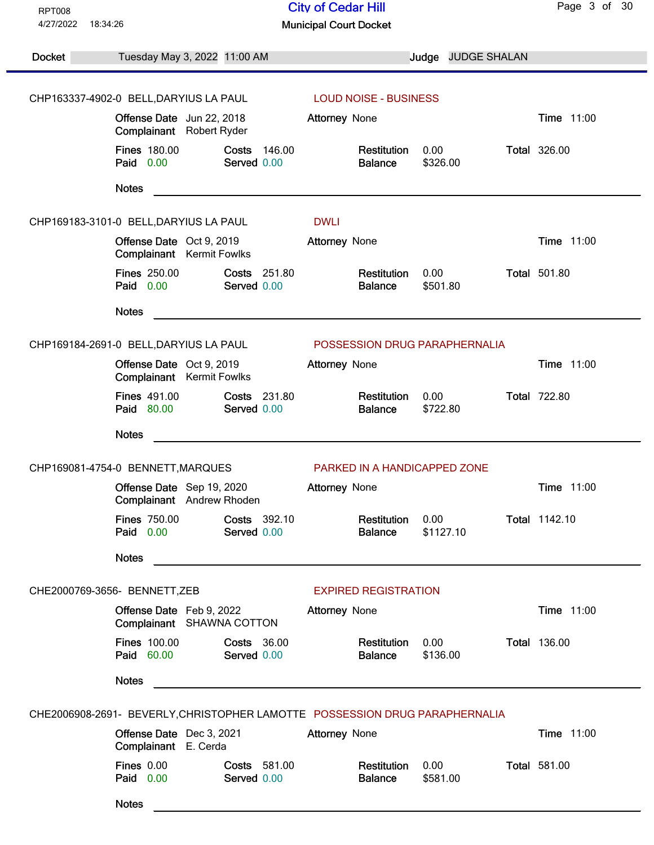| <b>RPT008</b>                                                               |                                                                     |                                                                                                                      | <b>City of Cedar Hill</b>     |                   |                     | Page 3 of 30        |
|-----------------------------------------------------------------------------|---------------------------------------------------------------------|----------------------------------------------------------------------------------------------------------------------|-------------------------------|-------------------|---------------------|---------------------|
| 4/27/2022<br>18:34:26                                                       |                                                                     |                                                                                                                      | <b>Municipal Court Docket</b> |                   |                     |                     |
| <b>Docket</b>                                                               | Tuesday May 3, 2022 11:00 AM                                        |                                                                                                                      |                               | Judge             | <b>JUDGE SHALAN</b> |                     |
|                                                                             |                                                                     |                                                                                                                      |                               |                   |                     |                     |
|                                                                             | CHP163337-4902-0 BELL, DARYIUS LA PAUL<br>Offense Date Jun 22, 2018 |                                                                                                                      | <b>LOUD NOISE - BUSINESS</b>  |                   |                     | <b>Time 11:00</b>   |
|                                                                             | Complainant Robert Ryder                                            |                                                                                                                      | <b>Attorney None</b>          |                   |                     |                     |
|                                                                             | <b>Fines 180.00</b><br>Paid 0.00                                    | Costs<br>146.00<br>Served 0.00                                                                                       | Restitution<br><b>Balance</b> | 0.00<br>\$326.00  |                     | <b>Total 326.00</b> |
|                                                                             | <b>Notes</b>                                                        |                                                                                                                      |                               |                   |                     |                     |
|                                                                             | CHP169183-3101-0 BELL, DARYIUS LA PAUL                              |                                                                                                                      | <b>DWLI</b>                   |                   |                     |                     |
|                                                                             | Offense Date Oct 9, 2019<br>Complainant Kermit Fowlks               |                                                                                                                      | <b>Attorney None</b>          |                   |                     | <b>Time 11:00</b>   |
|                                                                             | <b>Fines 250.00</b><br>Paid 0.00                                    | Costs 251.80<br>Served 0.00                                                                                          | Restitution<br><b>Balance</b> | 0.00<br>\$501.80  |                     | <b>Total 501.80</b> |
|                                                                             | <b>Notes</b>                                                        |                                                                                                                      |                               |                   |                     |                     |
|                                                                             | CHP169184-2691-0 BELL, DARYIUS LA PAUL                              |                                                                                                                      | POSSESSION DRUG PARAPHERNALIA |                   |                     |                     |
|                                                                             | Offense Date Oct 9, 2019<br>Complainant Kermit Fowlks               |                                                                                                                      | <b>Attorney None</b>          |                   |                     | Time 11:00          |
|                                                                             | <b>Fines 491.00</b><br>Paid 80.00                                   | <b>Costs 231.80</b><br>Served 0.00                                                                                   | Restitution<br><b>Balance</b> | 0.00<br>\$722.80  |                     | <b>Total 722.80</b> |
|                                                                             | <b>Notes</b>                                                        | <u> 1980 - Jan Barbara Barbara, maso a popular estas popular estas popular estas popular estas popular estas pop</u> |                               |                   |                     |                     |
|                                                                             | CHP169081-4754-0 BENNETT, MARQUES                                   |                                                                                                                      | PARKED IN A HANDICAPPED ZONE  |                   |                     |                     |
|                                                                             | Offense Date Sep 19, 2020<br>Complainant Andrew Rhoden              |                                                                                                                      | <b>Attorney None</b>          |                   |                     | Time 11:00          |
|                                                                             | <b>Fines 750.00</b><br>Paid 0.00                                    | Costs 392.10<br>Served 0.00                                                                                          | Restitution<br><b>Balance</b> | 0.00<br>\$1127.10 |                     | Total 1142.10       |
|                                                                             | <b>Notes</b>                                                        |                                                                                                                      |                               |                   |                     |                     |
|                                                                             | CHE2000769-3656- BENNETT, ZEB                                       |                                                                                                                      | <b>EXPIRED REGISTRATION</b>   |                   |                     |                     |
|                                                                             | Offense Date Feb 9, 2022<br>Complainant SHAWNA COTTON               |                                                                                                                      | <b>Attorney None</b>          |                   |                     | <b>Time 11:00</b>   |
|                                                                             | <b>Fines 100.00</b><br>Paid 60.00                                   | <b>Costs 36.00</b><br>Served 0.00                                                                                    | Restitution<br><b>Balance</b> | 0.00<br>\$136.00  |                     | <b>Total 136.00</b> |
|                                                                             | <b>Notes</b>                                                        |                                                                                                                      |                               |                   |                     |                     |
| CHE2006908-2691- BEVERLY, CHRISTOPHER LAMOTTE POSSESSION DRUG PARAPHERNALIA |                                                                     |                                                                                                                      |                               |                   |                     |                     |
|                                                                             | Offense Date Dec 3, 2021<br>Complainant E. Cerda                    |                                                                                                                      | <b>Attorney None</b>          |                   |                     | <b>Time 11:00</b>   |
|                                                                             | <b>Fines 0.00</b><br>Paid 0.00                                      | Costs 581.00<br>Served 0.00                                                                                          | Restitution<br><b>Balance</b> | 0.00<br>\$581.00  |                     | <b>Total 581.00</b> |
|                                                                             | <b>Notes</b>                                                        |                                                                                                                      |                               |                   |                     |                     |
|                                                                             |                                                                     |                                                                                                                      |                               |                   |                     |                     |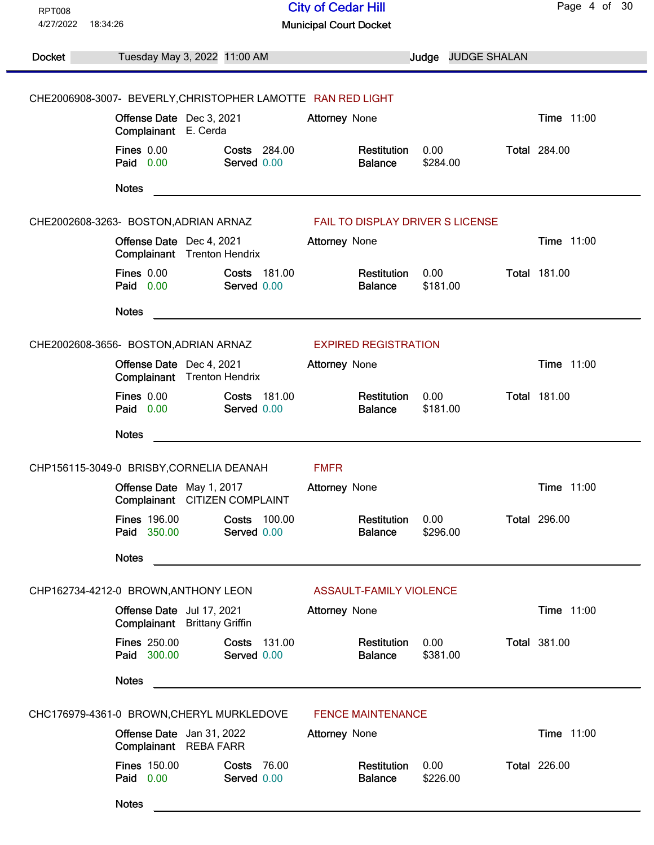| <b>RPT008</b><br>4/27/2022<br>18:34:26    |                                                             |                                    | <b>City of Cedar Hill</b><br><b>Municipal Court Docket</b> |                  |                     | Page 4 of 30        |
|-------------------------------------------|-------------------------------------------------------------|------------------------------------|------------------------------------------------------------|------------------|---------------------|---------------------|
|                                           |                                                             |                                    |                                                            |                  |                     |                     |
| <b>Docket</b>                             | Tuesday May 3, 2022 11:00 AM                                |                                    |                                                            | Judge            | <b>JUDGE SHALAN</b> |                     |
|                                           | CHE2006908-3007- BEVERLY, CHRISTOPHER LAMOTTE RAN RED LIGHT |                                    |                                                            |                  |                     |                     |
|                                           | Offense Date Dec 3, 2021<br>Complainant E. Cerda            |                                    | <b>Attorney None</b>                                       |                  |                     | Time 11:00          |
|                                           | <b>Fines 0.00</b><br>Paid 0.00                              | <b>Costs 284.00</b><br>Served 0.00 | Restitution<br><b>Balance</b>                              | 0.00<br>\$284.00 |                     | <b>Total 284.00</b> |
|                                           | <b>Notes</b>                                                |                                    |                                                            |                  |                     |                     |
|                                           | CHE2002608-3263- BOSTON, ADRIAN ARNAZ                       |                                    | FAIL TO DISPLAY DRIVER S LICENSE                           |                  |                     |                     |
|                                           | Offense Date Dec 4, 2021<br>Complainant Trenton Hendrix     |                                    | <b>Attorney None</b>                                       |                  |                     | Time 11:00          |
|                                           | Fines 0.00<br>Paid 0.00                                     | Costs 181.00<br>Served 0.00        | Restitution<br><b>Balance</b>                              | 0.00<br>\$181.00 |                     | <b>Total 181.00</b> |
|                                           | <b>Notes</b>                                                |                                    |                                                            |                  |                     |                     |
|                                           | CHE2002608-3656- BOSTON, ADRIAN ARNAZ                       |                                    | <b>EXPIRED REGISTRATION</b>                                |                  |                     |                     |
|                                           | Offense Date Dec 4, 2021<br>Complainant Trenton Hendrix     |                                    | Attorney None                                              |                  |                     | Time 11:00          |
|                                           | <b>Fines 0.00</b><br>Paid 0.00                              | <b>Costs 181.00</b><br>Served 0.00 | Restitution<br><b>Balance</b>                              | 0.00<br>\$181.00 |                     | <b>Total 181.00</b> |
|                                           | <b>Notes</b>                                                |                                    |                                                            |                  |                     |                     |
|                                           | CHP156115-3049-0 BRISBY, CORNELIA DEANAH                    |                                    | <b>FMFR</b>                                                |                  |                     |                     |
|                                           | Offense Date May 1, 2017<br>Complainant CITIZEN COMPLAINT   |                                    | Attorney None                                              |                  |                     | Time 11:00          |
|                                           | <b>Fines 196.00</b><br>Paid 350.00                          | Costs 100.00<br>Served 0.00        | Restitution<br><b>Balance</b>                              | 0.00<br>\$296.00 |                     | <b>Total 296.00</b> |
|                                           | <b>Notes</b>                                                |                                    |                                                            |                  |                     |                     |
|                                           | CHP162734-4212-0 BROWN, ANTHONY LEON                        |                                    | ASSAULT-FAMILY VIOLENCE                                    |                  |                     |                     |
|                                           | Offense Date Jul 17, 2021<br>Complainant Brittany Griffin   |                                    | <b>Attorney None</b>                                       |                  |                     | Time 11:00          |
|                                           | <b>Fines 250.00</b><br>Paid 300.00                          | Costs 131.00<br>Served 0.00        | Restitution<br><b>Balance</b>                              | 0.00<br>\$381.00 |                     | <b>Total 381.00</b> |
|                                           | <b>Notes</b>                                                |                                    |                                                            |                  |                     |                     |
| CHC176979-4361-0 BROWN, CHERYL MURKLEDOVE |                                                             | <b>FENCE MAINTENANCE</b>           |                                                            |                  |                     |                     |
|                                           | Offense Date Jan 31, 2022<br>Complainant REBA FARR          |                                    | <b>Attorney None</b>                                       |                  |                     | <b>Time 11:00</b>   |
|                                           | <b>Fines 150.00</b><br>Paid 0.00                            | <b>Costs 76.00</b><br>Served 0.00  | Restitution<br><b>Balance</b>                              | 0.00<br>\$226.00 |                     | <b>Total 226.00</b> |
|                                           | <b>Notes</b>                                                |                                    |                                                            |                  |                     |                     |
|                                           |                                                             |                                    |                                                            |                  |                     |                     |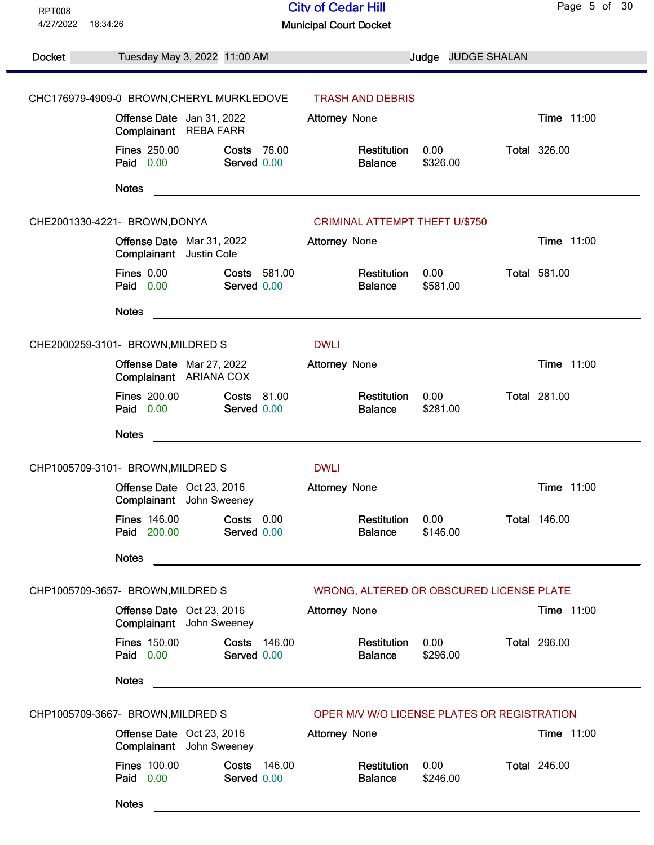| <b>RPT008</b>                     |                                                                        |                                   | <b>City of Cedar Hill</b>                             |                  |                    | Page 5 of 30        |
|-----------------------------------|------------------------------------------------------------------------|-----------------------------------|-------------------------------------------------------|------------------|--------------------|---------------------|
| 4/27/2022<br>18:34:26             |                                                                        |                                   | <b>Municipal Court Docket</b>                         |                  |                    |                     |
| Docket                            | Tuesday May 3, 2022 11:00 AM                                           |                                   |                                                       |                  | Judge JUDGE SHALAN |                     |
|                                   |                                                                        |                                   |                                                       |                  |                    |                     |
|                                   | CHC176979-4909-0 BROWN, CHERYL MURKLEDOVE<br>Offense Date Jan 31, 2022 |                                   | <b>TRASH AND DEBRIS</b>                               |                  |                    | Time 11:00          |
|                                   | Complainant REBA FARR                                                  |                                   | Attorney None                                         |                  |                    |                     |
|                                   | <b>Fines 250.00</b><br>Paid 0.00                                       | <b>Costs 76.00</b><br>Served 0.00 | Restitution<br><b>Balance</b>                         | 0.00<br>\$326.00 |                    | <b>Total 326.00</b> |
|                                   | <b>Notes</b>                                                           |                                   |                                                       |                  |                    |                     |
|                                   | CHE2001330-4221- BROWN, DONYA                                          |                                   | <b>CRIMINAL ATTEMPT THEFT U/\$750</b>                 |                  |                    |                     |
|                                   | Offense Date Mar 31, 2022<br>Complainant Justin Cole                   |                                   | Attorney None                                         |                  |                    | Time 11:00          |
|                                   | Fines 0.00<br>Paid 0.00                                                | Costs 581.00<br>Served 0.00       | Restitution<br><b>Balance</b>                         | 0.00<br>\$581.00 |                    | <b>Total 581.00</b> |
|                                   | <b>Notes</b>                                                           |                                   |                                                       |                  |                    |                     |
|                                   | CHE2000259-3101- BROWN, MILDRED S                                      |                                   | <b>DWLI</b>                                           |                  |                    |                     |
|                                   | Offense Date Mar 27, 2022<br>Complainant ARIANA COX                    |                                   | <b>Attorney None</b>                                  |                  |                    | Time 11:00          |
|                                   | <b>Fines 200.00</b><br>Paid 0.00                                       | <b>Costs 81.00</b><br>Served 0.00 | Restitution<br><b>Balance</b>                         | 0.00<br>\$281.00 |                    | <b>Total 281.00</b> |
|                                   | <b>Notes</b>                                                           |                                   |                                                       |                  |                    |                     |
|                                   | CHP1005709-3101- BROWN, MILDRED S                                      |                                   | <b>DWLI</b>                                           |                  |                    |                     |
|                                   | Offense Date Oct 23, 2016<br>Complainant John Sweeney                  |                                   | <b>Attorney None</b>                                  |                  |                    | Time 11:00          |
|                                   | <b>Fines 146.00</b><br>Paid 200.00                                     | Costs 0.00<br>Served 0.00         | Restitution<br><b>Balance</b>                         | 0.00<br>\$146.00 |                    | <b>Total 146.00</b> |
|                                   | <b>Notes</b>                                                           |                                   | <u> 1980 - Jan Stein Berlin, amerikan berlindar (</u> |                  |                    |                     |
|                                   | CHP1005709-3657- BROWN, MILDRED S                                      |                                   | WRONG, ALTERED OR OBSCURED LICENSE PLATE              |                  |                    |                     |
|                                   | Offense Date Oct 23, 2016<br>Complainant John Sweeney                  |                                   | <b>Attorney None</b>                                  |                  |                    | Time 11:00          |
|                                   | <b>Fines 150.00</b><br>Paid 0.00                                       | Costs 146.00<br>Served 0.00       | Restitution<br><b>Balance</b>                         | 0.00<br>\$296.00 |                    | <b>Total 296.00</b> |
|                                   | <b>Notes</b>                                                           |                                   |                                                       |                  |                    |                     |
| CHP1005709-3667- BROWN, MILDRED S |                                                                        |                                   | OPER M/V W/O LICENSE PLATES OR REGISTRATION           |                  |                    |                     |
|                                   | Offense Date Oct 23, 2016<br>Complainant John Sweeney                  |                                   | <b>Attorney None</b>                                  |                  |                    | Time 11:00          |
|                                   | <b>Fines 100.00</b><br>Paid 0.00                                       | Costs 146.00<br>Served 0.00       | Restitution<br><b>Balance</b>                         | 0.00<br>\$246.00 |                    | <b>Total 246.00</b> |
|                                   | <b>Notes</b>                                                           |                                   |                                                       |                  |                    |                     |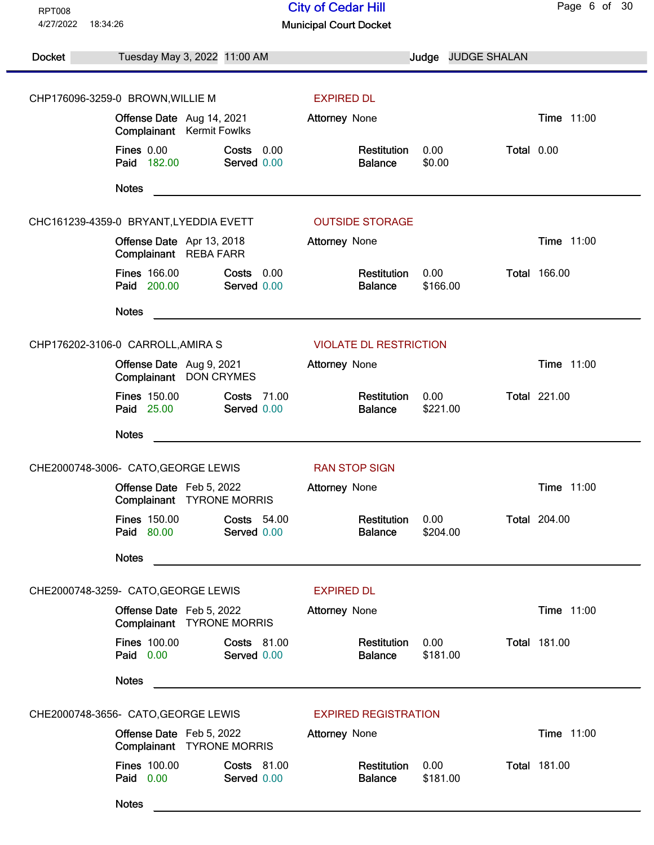| <b>RPT008</b>         |                                                       |                                                    | <b>City of Cedar Hill</b>     |                    |            | Page 6 of 30        |
|-----------------------|-------------------------------------------------------|----------------------------------------------------|-------------------------------|--------------------|------------|---------------------|
| 4/27/2022<br>18:34:26 |                                                       |                                                    | <b>Municipal Court Docket</b> |                    |            |                     |
| <b>Docket</b>         | Tuesday May 3, 2022 11:00 AM                          |                                                    |                               | Judge JUDGE SHALAN |            |                     |
|                       | CHP176096-3259-0 BROWN, WILLIE M<br><b>EXPIRED DL</b> |                                                    |                               |                    |            |                     |
|                       | Offense Date Aug 14, 2021                             |                                                    | <b>Attorney None</b>          |                    |            | Time 11:00          |
|                       | Complainant Kermit Fowlks                             |                                                    |                               |                    |            |                     |
|                       | <b>Fines 0.00</b><br>Paid 182.00                      | Costs 0.00<br>Served 0.00                          | Restitution<br><b>Balance</b> | 0.00<br>\$0.00     | Total 0.00 |                     |
|                       | <b>Notes</b>                                          |                                                    |                               |                    |            |                     |
|                       | CHC161239-4359-0 BRYANT, LYEDDIA EVETT                |                                                    | <b>OUTSIDE STORAGE</b>        |                    |            |                     |
|                       | Offense Date Apr 13, 2018<br>Complainant REBA FARR    |                                                    | <b>Attorney None</b>          |                    |            | <b>Time 11:00</b>   |
|                       | <b>Fines 166.00</b><br>Paid 200.00                    | Costs 0.00<br>Served 0.00                          | Restitution<br><b>Balance</b> | 0.00<br>\$166.00   |            | <b>Total 166.00</b> |
|                       | <b>Notes</b>                                          |                                                    |                               |                    |            |                     |
|                       | CHP176202-3106-0 CARROLL, AMIRA S                     |                                                    | <b>VIOLATE DL RESTRICTION</b> |                    |            |                     |
|                       | Offense Date Aug 9, 2021<br>Complainant DON CRYMES    |                                                    | Attorney None                 |                    |            | Time 11:00          |
|                       | <b>Fines 150.00</b><br>Paid 25.00                     | <b>Costs 71.00</b><br>Served 0.00                  | Restitution<br><b>Balance</b> | 0.00<br>\$221.00   |            | <b>Total 221.00</b> |
|                       | <b>Notes</b>                                          | <u> 1980 - John Stein, Amerikaansk politiker (</u> |                               |                    |            |                     |
|                       | CHE2000748-3006- CATO, GEORGE LEWIS                   |                                                    | <b>RAN STOP SIGN</b>          |                    |            |                     |
|                       | Offense Date Feb 5, 2022<br>Complainant TYRONE MORRIS |                                                    | <b>Attorney None</b>          |                    |            | Time 11:00          |
|                       | <b>Fines 150.00</b><br>Paid 80.00                     | <b>Costs 54.00</b><br>Served 0.00                  | Restitution<br><b>Balance</b> | 0.00<br>\$204.00   |            | <b>Total 204.00</b> |
|                       | <b>Notes</b>                                          |                                                    |                               |                    |            |                     |
|                       | CHE2000748-3259- CATO, GEORGE LEWIS                   |                                                    | <b>EXPIRED DL</b>             |                    |            |                     |
|                       | Offense Date Feb 5, 2022<br>Complainant TYRONE MORRIS |                                                    | <b>Attorney None</b>          |                    |            | Time 11:00          |
|                       | <b>Fines 100.00</b><br>Paid 0.00                      | <b>Costs 81.00</b><br>Served 0.00                  | Restitution<br><b>Balance</b> | 0.00<br>\$181.00   |            | <b>Total 181.00</b> |
|                       | <b>Notes</b>                                          |                                                    |                               |                    |            |                     |
|                       | CHE2000748-3656- CATO, GEORGE LEWIS                   |                                                    | <b>EXPIRED REGISTRATION</b>   |                    |            |                     |
|                       | Offense Date Feb 5, 2022<br>Complainant TYRONE MORRIS |                                                    | <b>Attorney None</b>          |                    |            | <b>Time 11:00</b>   |
|                       | <b>Fines 100.00</b><br>Paid 0.00                      | Costs 81.00<br>Served 0.00                         | Restitution<br><b>Balance</b> | 0.00<br>\$181.00   |            | <b>Total 181.00</b> |
|                       | <b>Notes</b>                                          |                                                    |                               |                    |            |                     |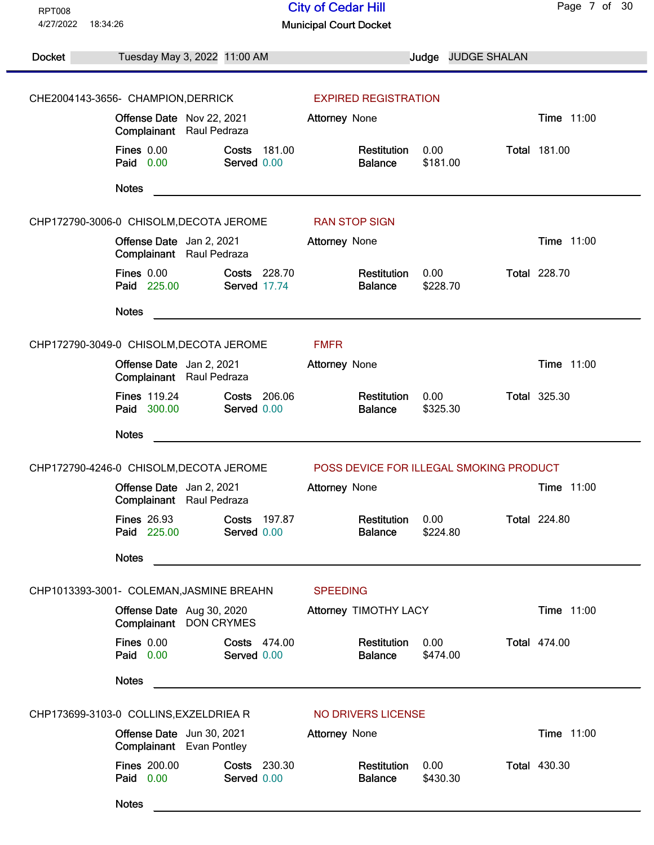| <b>RPT008</b>                            |                                                       |                                     | <b>City of Cedar Hill</b>               |                  |                    | Page 7 of 30        |
|------------------------------------------|-------------------------------------------------------|-------------------------------------|-----------------------------------------|------------------|--------------------|---------------------|
| 4/27/2022<br>18:34:26                    |                                                       |                                     | <b>Municipal Court Docket</b>           |                  |                    |                     |
| Docket                                   | Tuesday May 3, 2022 11:00 AM                          |                                     |                                         |                  | Judge JUDGE SHALAN |                     |
| CHE2004143-3656- CHAMPION, DERRICK       |                                                       |                                     |                                         |                  |                    |                     |
|                                          |                                                       |                                     | <b>EXPIRED REGISTRATION</b>             |                  |                    |                     |
|                                          | Offense Date Nov 22, 2021<br>Complainant Raul Pedraza |                                     | <b>Attorney None</b>                    |                  |                    | Time 11:00          |
|                                          | <b>Fines 0.00</b><br>Paid 0.00                        | Costs 181.00<br>Served 0.00         | Restitution<br><b>Balance</b>           | 0.00<br>\$181.00 |                    | <b>Total 181.00</b> |
|                                          | <b>Notes</b>                                          |                                     |                                         |                  |                    |                     |
| CHP172790-3006-0 CHISOLM, DECOTA JEROME  |                                                       |                                     | <b>RAN STOP SIGN</b>                    |                  |                    |                     |
|                                          | Offense Date Jan 2, 2021<br>Complainant Raul Pedraza  |                                     | <b>Attorney None</b>                    |                  |                    | <b>Time 11:00</b>   |
|                                          | Fines 0.00<br>Paid 225.00                             | Costs 228.70<br><b>Served 17.74</b> | Restitution<br><b>Balance</b>           | 0.00<br>\$228.70 |                    | <b>Total 228.70</b> |
|                                          | <b>Notes</b>                                          |                                     |                                         |                  |                    |                     |
| CHP172790-3049-0 CHISOLM, DECOTA JEROME  |                                                       |                                     | <b>FMFR</b>                             |                  |                    |                     |
|                                          | Offense Date Jan 2, 2021<br>Complainant Raul Pedraza  |                                     | Attorney None                           |                  |                    | <b>Time 11:00</b>   |
|                                          | <b>Fines 119.24</b><br>Paid 300.00                    | Costs 206.06<br>Served 0.00         | Restitution<br><b>Balance</b>           | 0.00<br>\$325.30 |                    | <b>Total 325.30</b> |
|                                          | <b>Notes</b>                                          |                                     |                                         |                  |                    |                     |
| CHP172790-4246-0 CHISOLM, DECOTA JEROME  |                                                       |                                     | POSS DEVICE FOR ILLEGAL SMOKING PRODUCT |                  |                    |                     |
|                                          | Offense Date Jan 2, 2021<br>Complainant Raul Pedraza  |                                     | <b>Attorney None</b>                    |                  |                    | Time 11:00          |
|                                          | <b>Fines 26.93</b><br>Paid 225.00                     | Costs 197.87<br>Served 0.00         | Restitution<br><b>Balance</b>           | 0.00<br>\$224.80 |                    | <b>Total 224.80</b> |
|                                          | <b>Notes</b>                                          |                                     |                                         |                  |                    |                     |
| CHP1013393-3001- COLEMAN, JASMINE BREAHN |                                                       |                                     | <b>SPEEDING</b>                         |                  |                    |                     |
|                                          | Offense Date Aug 30, 2020<br>Complainant              | <b>DON CRYMES</b>                   | Attorney TIMOTHY LACY                   |                  |                    | Time 11:00          |
|                                          | Fines 0.00<br>Paid 0.00                               | <b>Costs 474.00</b><br>Served 0.00  | Restitution<br><b>Balance</b>           | 0.00<br>\$474.00 |                    | <b>Total 474.00</b> |
|                                          | <b>Notes</b>                                          |                                     |                                         |                  |                    |                     |
| CHP173699-3103-0 COLLINS, EXZELDRIEA R   |                                                       |                                     | NO DRIVERS LICENSE                      |                  |                    |                     |
|                                          | Offense Date Jun 30, 2021<br>Complainant Evan Pontley |                                     | <b>Attorney None</b>                    |                  |                    | Time 11:00          |
|                                          | <b>Fines 200.00</b><br>Paid 0.00                      | Costs 230.30<br>Served 0.00         | Restitution<br><b>Balance</b>           | 0.00<br>\$430.30 |                    | <b>Total 430.30</b> |
|                                          | <b>Notes</b>                                          |                                     |                                         |                  |                    |                     |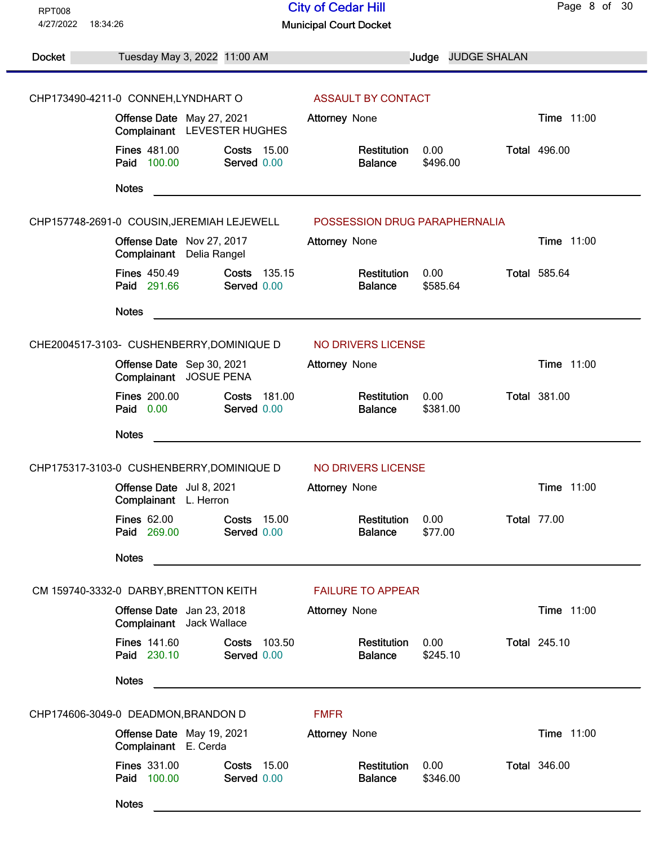| <b>RPT008</b>         |                                                                         | <b>City of Cedar Hill</b>                                                | Page 8 of 30        |
|-----------------------|-------------------------------------------------------------------------|--------------------------------------------------------------------------|---------------------|
| 4/27/2022<br>18:34:26 |                                                                         | <b>Municipal Court Docket</b>                                            |                     |
| <b>Docket</b>         | Tuesday May 3, 2022 11:00 AM                                            | Judge JUDGE SHALAN                                                       |                     |
|                       |                                                                         |                                                                          |                     |
|                       | CHP173490-4211-0 CONNEH, LYNDHART O                                     | <b>ASSAULT BY CONTACT</b>                                                |                     |
|                       | Offense Date May 27, 2021<br>Complainant LEVESTER HUGHES                | Attorney None                                                            | Time 11:00          |
|                       | <b>Fines 481.00</b><br><b>Costs 15.00</b><br>Paid 100.00<br>Served 0.00 | 0.00<br>Restitution<br>\$496.00<br><b>Balance</b>                        | <b>Total 496.00</b> |
|                       | <b>Notes</b>                                                            | <u> 1989 - Johann Stein, Amerikaansk politiker (* 1958)</u>              |                     |
|                       |                                                                         | CHP157748-2691-0 COUSIN, JEREMIAH LEJEWELL POSSESSION DRUG PARAPHERNALIA |                     |
|                       | Offense Date Nov 27, 2017<br>Complainant Delia Rangel                   | <b>Attorney None</b>                                                     | Time 11:00          |
|                       | <b>Fines 450.49</b><br>Costs 135.15<br>Paid 291.66<br>Served 0.00       | Restitution<br>0.00<br><b>Balance</b><br>\$585.64                        | <b>Total 585.64</b> |
|                       | <b>Notes</b>                                                            |                                                                          |                     |
|                       | CHE2004517-3103- CUSHENBERRY, DOMINIQUE D                               | NO DRIVERS LICENSE                                                       |                     |
|                       | Offense Date Sep 30, 2021<br>Complainant JOSUE PENA                     | Attorney None                                                            | Time 11:00          |
|                       | <b>Fines 200.00</b><br>Costs 181.00<br>Paid 0.00<br>Served 0.00         | Restitution<br>0.00<br>\$381.00<br><b>Balance</b>                        | <b>Total 381.00</b> |
|                       | <b>Notes</b>                                                            |                                                                          |                     |
|                       | CHP175317-3103-0 CUSHENBERRY, DOMINIQUE D                               | NO DRIVERS LICENSE                                                       |                     |
|                       | Offense Date Jul 8, 2021<br>Complainant L. Herron                       | <b>Attorney None</b>                                                     | Time 11:00          |
|                       | <b>Fines 62.00</b><br><b>Costs 15.00</b><br>Paid 269.00<br>Served 0.00  | Restitution<br>0.00<br><b>Balance</b><br>\$77.00                         | <b>Total 77.00</b>  |
|                       | <b>Notes</b>                                                            |                                                                          |                     |
|                       | CM 159740-3332-0 DARBY, BRENTTON KEITH                                  | <b>FAILURE TO APPEAR</b>                                                 |                     |
|                       | Offense Date Jan 23, 2018<br>Complainant Jack Wallace                   | <b>Attorney None</b>                                                     | Time 11:00          |
|                       | <b>Fines 141.60</b><br>Costs 103.50<br>Paid 230.10<br>Served 0.00       | 0.00<br>Restitution<br><b>Balance</b><br>\$245.10                        | <b>Total 245.10</b> |
|                       | <b>Notes</b>                                                            |                                                                          |                     |
|                       | CHP174606-3049-0 DEADMON, BRANDON D                                     | <b>FMFR</b>                                                              |                     |
|                       | Offense Date May 19, 2021<br>Complainant E. Cerda                       | Attorney None                                                            | Time 11:00          |
|                       | <b>Fines 331.00</b><br><b>Costs 15.00</b><br>Paid 100.00<br>Served 0.00 | Restitution<br>0.00<br><b>Balance</b><br>\$346.00                        | <b>Total 346.00</b> |
|                       | <b>Notes</b>                                                            |                                                                          |                     |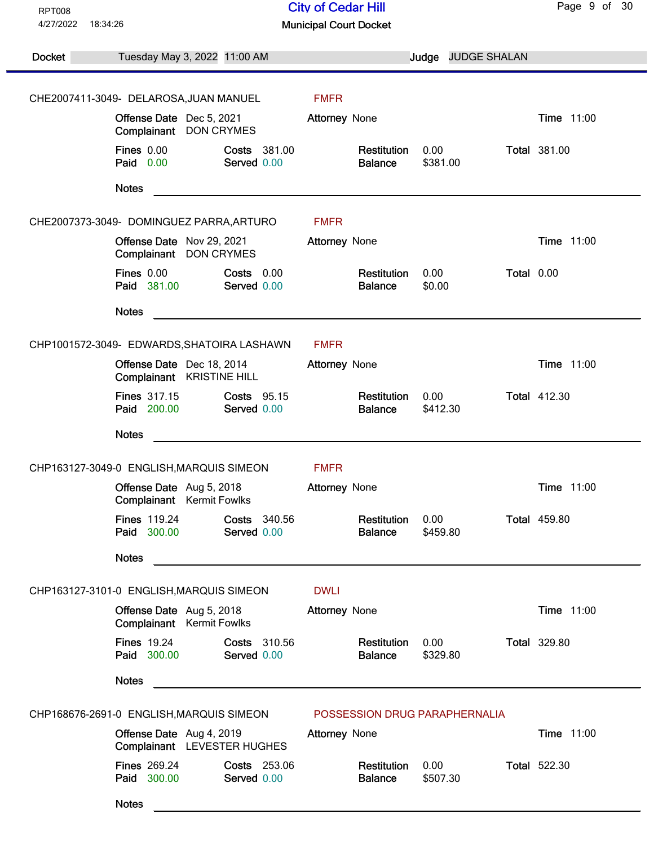| <b>RPT008</b> |                                                                         | <b>City of Cedar Hill</b>                         | Page 9 of 30        |
|---------------|-------------------------------------------------------------------------|---------------------------------------------------|---------------------|
| 4/27/2022     | 18:34:26                                                                | <b>Municipal Court Docket</b>                     |                     |
| Docket        | Tuesday May 3, 2022 11:00 AM                                            | Judge JUDGE SHALAN                                |                     |
|               |                                                                         |                                                   |                     |
|               | CHE2007411-3049- DELAROSA, JUAN MANUEL                                  | <b>FMFR</b>                                       |                     |
|               | Offense Date Dec 5, 2021<br>Complainant<br><b>DON CRYMES</b>            | Attorney None                                     | Time 11:00          |
|               | <b>Fines 0.00</b><br>Costs 381.00<br>Paid 0.00<br>Served 0.00           | Restitution<br>0.00<br>\$381.00<br><b>Balance</b> | <b>Total 381.00</b> |
|               | <b>Notes</b>                                                            |                                                   |                     |
|               | CHE2007373-3049- DOMINGUEZ PARRA, ARTURO                                | <b>FMFR</b>                                       |                     |
|               | Offense Date Nov 29, 2021<br>Complainant DON CRYMES                     | <b>Attorney None</b>                              | Time 11:00          |
|               | Fines 0.00<br>Costs 0.00<br>Paid 381.00<br>Served 0.00                  | 0.00<br>Restitution<br>\$0.00<br><b>Balance</b>   | Total 0.00          |
|               | <b>Notes</b>                                                            |                                                   |                     |
|               | CHP1001572-3049- EDWARDS, SHATOIRA LASHAWN                              | <b>FMFR</b>                                       |                     |
|               | Offense Date Dec 18, 2014<br>Complainant KRISTINE HILL                  | <b>Attorney None</b>                              | Time 11:00          |
|               | <b>Fines 317.15</b><br><b>Costs 95.15</b><br>Paid 200.00<br>Served 0.00 | Restitution<br>0.00<br>\$412.30<br><b>Balance</b> | <b>Total 412.30</b> |
|               | <b>Notes</b>                                                            |                                                   |                     |
|               | CHP163127-3049-0 ENGLISH, MARQUIS SIMEON                                | <b>FMFR</b>                                       |                     |
|               | Offense Date Aug 5, 2018<br>Complainant Kermit Fowlks                   | Attorney None                                     | Time 11:00          |
|               | <b>Fines 119.24</b><br>Costs 340.56<br>Paid 300.00<br>Served 0.00       | Restitution<br>0.00<br><b>Balance</b><br>\$459.80 | <b>Total 459.80</b> |
|               | <b>Notes</b>                                                            |                                                   |                     |
|               | CHP163127-3101-0 ENGLISH, MARQUIS SIMEON                                | <b>DWLI</b>                                       |                     |
|               | Offense Date Aug 5, 2018<br>Complainant Kermit Fowlks                   | Attorney None                                     | Time 11:00          |
|               | <b>Fines 19.24</b><br>Costs 310.56<br>Paid 300.00<br>Served 0.00        | 0.00<br>Restitution<br>\$329.80<br><b>Balance</b> | <b>Total 329.80</b> |
|               | <b>Notes</b>                                                            |                                                   |                     |
|               | CHP168676-2691-0 ENGLISH, MARQUIS SIMEON                                | POSSESSION DRUG PARAPHERNALIA                     |                     |
|               | Offense Date Aug 4, 2019<br>Complainant LEVESTER HUGHES                 | Attorney None                                     | Time 11:00          |
|               | <b>Fines 269.24</b><br>Costs 253.06<br>Paid 300.00<br>Served 0.00       | 0.00<br>Restitution<br><b>Balance</b><br>\$507.30 | <b>Total 522.30</b> |
|               | <b>Notes</b>                                                            |                                                   |                     |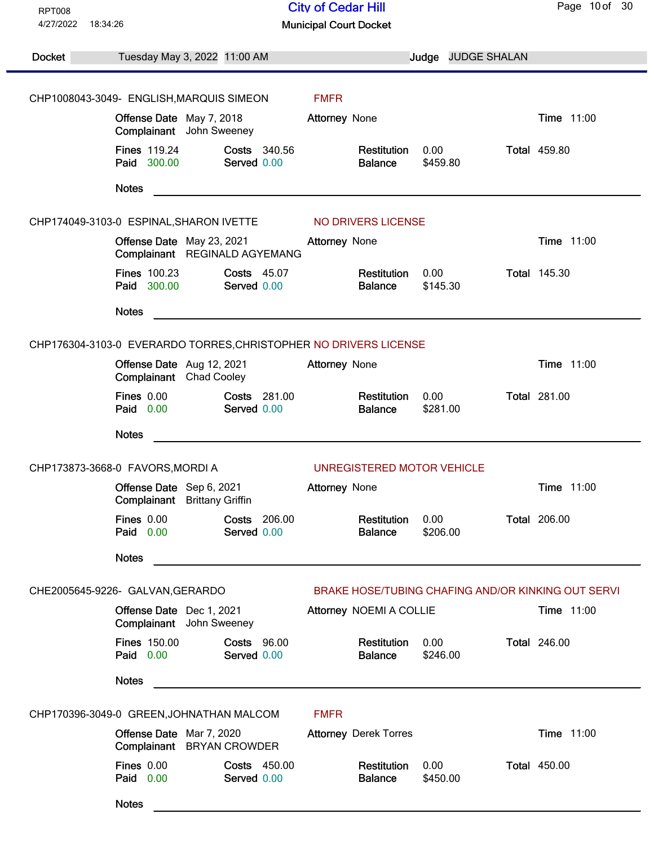| <b>RPT008</b> |                                                                          | <b>City of Cedar Hill</b>                          | Page 10 of 30       |  |  |
|---------------|--------------------------------------------------------------------------|----------------------------------------------------|---------------------|--|--|
| 4/27/2022     | 18:34:26                                                                 | <b>Municipal Court Docket</b>                      |                     |  |  |
| Docket        | Tuesday May 3, 2022 11:00 AM                                             | Judge JUDGE SHALAN                                 |                     |  |  |
|               |                                                                          |                                                    |                     |  |  |
|               | CHP1008043-3049- ENGLISH, MARQUIS SIMEON                                 | <b>FMFR</b>                                        |                     |  |  |
|               | Offense Date May 7, 2018<br>Complainant John Sweeney                     | <b>Attorney None</b>                               | Time 11:00          |  |  |
|               | <b>Fines 119.24</b><br><b>Costs</b> 340.56<br>Paid 300.00<br>Served 0.00 | Restitution<br>0.00<br><b>Balance</b><br>\$459.80  | <b>Total 459.80</b> |  |  |
|               | <b>Notes</b>                                                             |                                                    |                     |  |  |
|               | CHP174049-3103-0 ESPINAL, SHARON IVETTE NO DRIVERS LICENSE               |                                                    |                     |  |  |
|               | Offense Date May 23, 2021<br>Complainant REGINALD AGYEMANG               | <b>Attorney None</b>                               | <b>Time 11:00</b>   |  |  |
|               | <b>Fines 100.23</b><br><b>Costs 45.07</b><br>Paid 300.00<br>Served 0.00  | Restitution<br>0.00<br>\$145.30<br><b>Balance</b>  | <b>Total 145.30</b> |  |  |
|               | <b>Notes</b>                                                             |                                                    |                     |  |  |
|               | CHP176304-3103-0 EVERARDO TORRES, CHRISTOPHER NO DRIVERS LICENSE         |                                                    |                     |  |  |
|               | Offense Date Aug 12, 2021<br>Complainant Chad Cooley                     | <b>Attorney None</b>                               | <b>Time 11:00</b>   |  |  |
|               | <b>Fines 0.00</b><br>Costs 281.00<br>Paid 0.00<br>Served 0.00            | Restitution<br>0.00<br>\$281.00<br><b>Balance</b>  | <b>Total 281.00</b> |  |  |
|               | <b>Notes</b>                                                             |                                                    |                     |  |  |
|               | CHP173873-3668-0 FAVORS, MORDI A                                         | UNREGISTERED MOTOR VEHICLE                         |                     |  |  |
|               | Offense Date Sep 6, 2021<br>Complainant<br><b>Brittany Griffin</b>       | Attorney None                                      | Time 11:00          |  |  |
|               | <b>Fines 0.00</b><br><b>Costs 206.00</b><br>Paid 0.00<br>Served 0.00     | Restitution<br>0.00<br>\$206.00<br><b>Balance</b>  | <b>Total 206.00</b> |  |  |
|               | <b>Notes</b>                                                             |                                                    |                     |  |  |
|               | CHE2005645-9226- GALVAN, GERARDO                                         | BRAKE HOSE/TUBING CHAFING AND/OR KINKING OUT SERVI |                     |  |  |
|               | Offense Date Dec 1, 2021<br>Complainant John Sweeney                     | Attorney NOEMI A COLLIE                            | <b>Time 11:00</b>   |  |  |
|               | <b>Fines 150.00</b><br><b>Costs 96.00</b><br>Paid 0.00<br>Served 0.00    | 0.00<br>Restitution<br>\$246.00<br><b>Balance</b>  | <b>Total 246.00</b> |  |  |
|               | <b>Notes</b>                                                             |                                                    |                     |  |  |
|               | CHP170396-3049-0 GREEN, JOHNATHAN MALCOM                                 | <b>FMFR</b>                                        |                     |  |  |
|               | Offense Date Mar 7, 2020<br>Complainant BRYAN CROWDER                    | <b>Attorney Derek Torres</b>                       | Time 11:00          |  |  |
|               | <b>Fines 0.00</b><br>Costs 450.00<br>Paid 0.00<br>Served 0.00            | 0.00<br>Restitution<br>\$450.00<br><b>Balance</b>  | <b>Total 450.00</b> |  |  |
|               | <b>Notes</b>                                                             |                                                    |                     |  |  |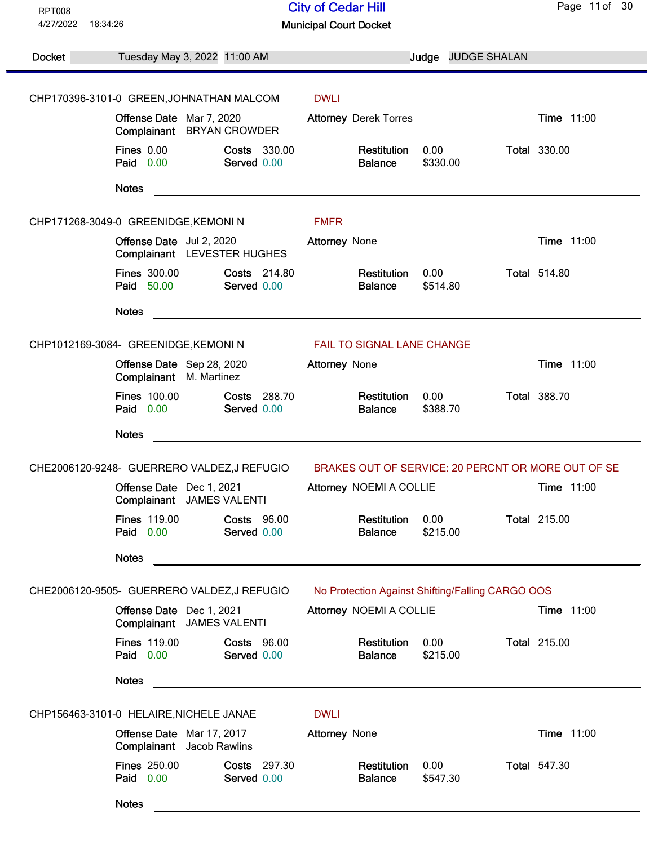| <b>RPT008</b>                                                            |                                                                       | <b>City of Cedar Hill</b>                          | Page 11 of 30       |  |  |
|--------------------------------------------------------------------------|-----------------------------------------------------------------------|----------------------------------------------------|---------------------|--|--|
| 4/27/2022                                                                | 18:34:26                                                              | <b>Municipal Court Docket</b>                      |                     |  |  |
| <b>Docket</b>                                                            | Tuesday May 3, 2022 11:00 AM                                          | Judge JUDGE SHALAN                                 |                     |  |  |
|                                                                          |                                                                       |                                                    |                     |  |  |
|                                                                          | CHP170396-3101-0 GREEN, JOHNATHAN MALCOM                              | <b>DWLI</b>                                        |                     |  |  |
|                                                                          | Offense Date Mar 7, 2020<br>Complainant BRYAN CROWDER                 | <b>Attorney Derek Torres</b>                       | Time 11:00          |  |  |
|                                                                          | <b>Fines 0.00</b><br><b>Costs 330.00</b><br>Paid 0.00<br>Served 0.00  | Restitution<br>0.00<br>\$330.00<br><b>Balance</b>  | <b>Total 330.00</b> |  |  |
|                                                                          | <b>Notes</b>                                                          |                                                    |                     |  |  |
|                                                                          | CHP171268-3049-0 GREENIDGE, KEMONIN                                   | <b>FMFR</b>                                        |                     |  |  |
|                                                                          | Offense Date Jul 2, 2020<br>Complainant LEVESTER HUGHES               | Attorney None                                      | Time 11:00          |  |  |
|                                                                          | <b>Fines 300.00</b><br>Costs 214.80<br>Paid 50.00<br>Served 0.00      | 0.00<br>Restitution<br>\$514.80<br><b>Balance</b>  | <b>Total 514.80</b> |  |  |
|                                                                          | <b>Notes</b>                                                          |                                                    |                     |  |  |
| CHP1012169-3084- GREENIDGE, KEMONIN<br><b>FAIL TO SIGNAL LANE CHANGE</b> |                                                                       |                                                    |                     |  |  |
|                                                                          | Offense Date Sep 28, 2020<br>Complainant M. Martinez                  | Attorney None                                      | Time 11:00          |  |  |
|                                                                          | <b>Fines 100.00</b><br>Costs 288.70<br>Paid 0.00<br>Served 0.00       | Restitution<br>0.00<br>\$388.70<br><b>Balance</b>  | <b>Total 388.70</b> |  |  |
|                                                                          | <b>Notes</b>                                                          |                                                    |                     |  |  |
|                                                                          | CHE2006120-9248- GUERRERO VALDEZ,J REFUGIO                            | BRAKES OUT OF SERVICE: 20 PERCNT OR MORE OUT OF SE |                     |  |  |
|                                                                          | Offense Date Dec 1, 2021<br>Complainant JAMES VALENTI                 | Attorney NOEMI A COLLIE                            | Time 11:00          |  |  |
|                                                                          | <b>Fines 119.00</b><br><b>Costs 96.00</b><br>Paid 0.00<br>Served 0.00 | Restitution<br>0.00<br>\$215.00<br><b>Balance</b>  | <b>Total 215.00</b> |  |  |
|                                                                          | <b>Notes</b>                                                          |                                                    |                     |  |  |
|                                                                          | CHE2006120-9505- GUERRERO VALDEZ, J REFUGIO                           | No Protection Against Shifting/Falling CARGO OOS   |                     |  |  |
|                                                                          | Offense Date Dec 1, 2021<br>Complainant JAMES VALENTI                 | Attorney NOEMI A COLLIE                            | Time 11:00          |  |  |
|                                                                          | <b>Fines 119.00</b><br><b>Costs 96.00</b><br>Paid 0.00<br>Served 0.00 | 0.00<br>Restitution<br>\$215.00<br><b>Balance</b>  | <b>Total 215.00</b> |  |  |
|                                                                          | <b>Notes</b>                                                          |                                                    |                     |  |  |
|                                                                          | CHP156463-3101-0 HELAIRE, NICHELE JANAE                               | <b>DWLI</b>                                        |                     |  |  |
|                                                                          | Offense Date Mar 17, 2017<br>Complainant Jacob Rawlins                | Attorney None                                      | Time 11:00          |  |  |
|                                                                          | <b>Fines 250.00</b><br>Costs 297.30<br>Paid 0.00<br>Served 0.00       | Restitution<br>0.00<br><b>Balance</b><br>\$547.30  | <b>Total 547.30</b> |  |  |
|                                                                          | <b>Notes</b>                                                          |                                                    |                     |  |  |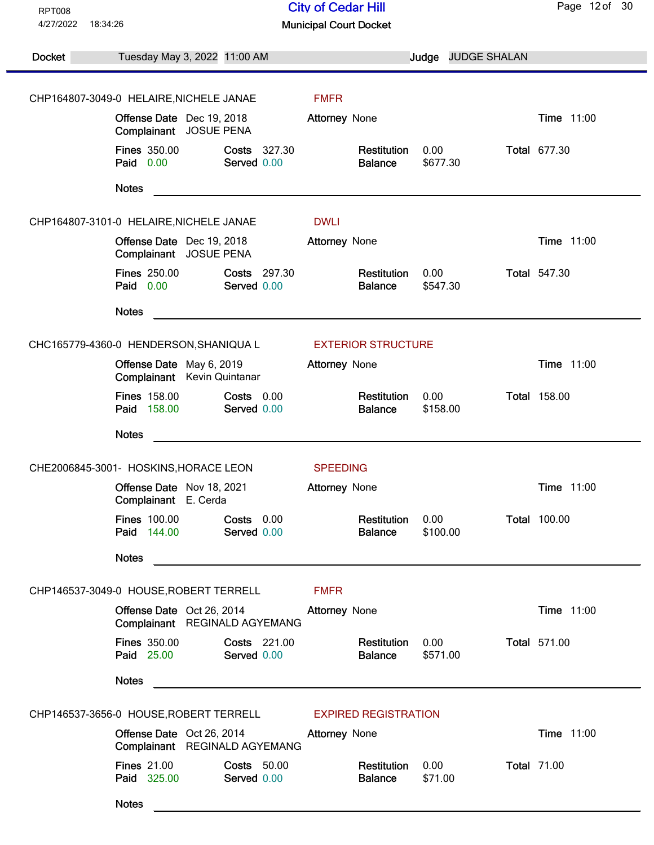| <b>RPT008</b>                                                         |                                                                        | <b>City of Cedar Hill</b>                         | Page 12 of 30       |  |  |
|-----------------------------------------------------------------------|------------------------------------------------------------------------|---------------------------------------------------|---------------------|--|--|
| 4/27/2022                                                             | 18:34:26                                                               | <b>Municipal Court Docket</b>                     |                     |  |  |
|                                                                       |                                                                        |                                                   |                     |  |  |
| Docket                                                                | Tuesday May 3, 2022 11:00 AM                                           | Judge JUDGE SHALAN                                |                     |  |  |
|                                                                       |                                                                        |                                                   |                     |  |  |
|                                                                       | CHP164807-3049-0 HELAIRE, NICHELE JANAE                                | <b>FMFR</b>                                       |                     |  |  |
|                                                                       | Offense Date Dec 19, 2018<br>Complainant JOSUE PENA                    | Attorney None                                     | Time 11:00          |  |  |
|                                                                       | <b>Fines 350.00</b><br>Costs 327.30<br>Paid 0.00<br>Served 0.00        | Restitution<br>0.00<br>\$677.30<br><b>Balance</b> | <b>Total 677.30</b> |  |  |
|                                                                       | <b>Notes</b>                                                           |                                                   |                     |  |  |
|                                                                       | CHP164807-3101-0 HELAIRE, NICHELE JANAE                                | <b>DWLI</b>                                       |                     |  |  |
|                                                                       | Offense Date Dec 19, 2018<br>Complainant JOSUE PENA                    | <b>Attorney None</b>                              | Time 11:00          |  |  |
|                                                                       | <b>Fines 250.00</b><br><b>Costs 297.30</b><br>Paid 0.00<br>Served 0.00 | 0.00<br>Restitution<br>\$547.30<br><b>Balance</b> | <b>Total 547.30</b> |  |  |
|                                                                       | <b>Notes</b>                                                           |                                                   |                     |  |  |
|                                                                       | CHC165779-4360-0 HENDERSON, SHANIQUA L                                 | <b>EXTERIOR STRUCTURE</b>                         |                     |  |  |
|                                                                       | Offense Date May 6, 2019<br>Complainant Kevin Quintanar                | <b>Attorney None</b>                              | Time 11:00          |  |  |
|                                                                       | <b>Fines 158.00</b><br>Costs 0.00<br>Paid 158.00<br>Served 0.00        | Restitution<br>0.00<br>\$158.00<br><b>Balance</b> | <b>Total 158.00</b> |  |  |
|                                                                       | <b>Notes</b>                                                           |                                                   |                     |  |  |
|                                                                       | CHE2006845-3001- HOSKINS, HORACE LEON                                  | <b>SPEEDING</b>                                   |                     |  |  |
|                                                                       | Offense Date Nov 18, 2021<br>Complainant E. Cerda                      | <b>Attorney None</b>                              | Time 11:00          |  |  |
|                                                                       | <b>Fines 100.00</b><br>Costs 0.00<br>Paid 144.00<br>Served 0.00        | Restitution<br>0.00<br>\$100.00<br><b>Balance</b> | <b>Total 100.00</b> |  |  |
|                                                                       | <b>Notes</b>                                                           |                                                   |                     |  |  |
|                                                                       | CHP146537-3049-0 HOUSE, ROBERT TERRELL                                 | <b>FMFR</b>                                       |                     |  |  |
|                                                                       | Offense Date Oct 26, 2014<br>Complainant REGINALD AGYEMANG             | Attorney None                                     | Time 11:00          |  |  |
|                                                                       | <b>Fines 350.00</b><br>Costs 221.00<br>Paid 25.00<br>Served 0.00       | 0.00<br>Restitution<br>\$571.00<br><b>Balance</b> | <b>Total 571.00</b> |  |  |
|                                                                       | <b>Notes</b>                                                           |                                                   |                     |  |  |
| CHP146537-3656-0 HOUSE, ROBERT TERRELL<br><b>EXPIRED REGISTRATION</b> |                                                                        |                                                   |                     |  |  |
|                                                                       | Offense Date Oct 26, 2014<br>Complainant REGINALD AGYEMANG             | Attorney None                                     | Time 11:00          |  |  |
|                                                                       | <b>Fines 21.00</b><br><b>Costs 50.00</b><br>Paid 325.00<br>Served 0.00 | 0.00<br>Restitution<br>\$71.00<br><b>Balance</b>  | <b>Total 71.00</b>  |  |  |
|                                                                       | <b>Notes</b>                                                           |                                                   |                     |  |  |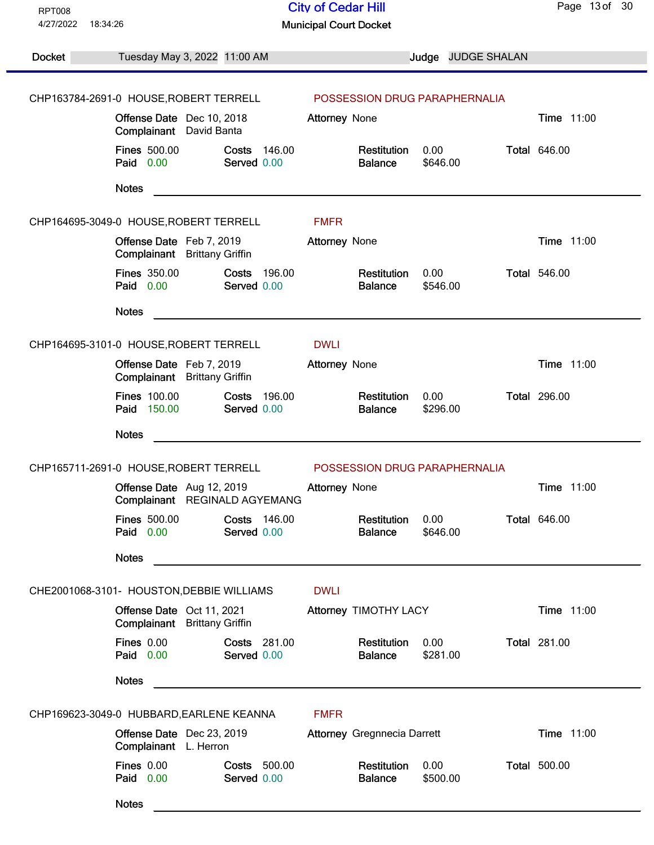| <b>RPT008</b>         |                                                                   | <b>City of Cedar Hill</b>                         | Page 13 of 30       |
|-----------------------|-------------------------------------------------------------------|---------------------------------------------------|---------------------|
| 4/27/2022<br>18:34:26 |                                                                   | <b>Municipal Court Docket</b>                     |                     |
| <b>Docket</b>         | Tuesday May 3, 2022 11:00 AM                                      | Judge JUDGE SHALAN                                |                     |
|                       |                                                                   |                                                   |                     |
|                       | CHP163784-2691-0 HOUSE, ROBERT TERRELL                            | POSSESSION DRUG PARAPHERNALIA                     |                     |
|                       | Offense Date Dec 10, 2018<br>Complainant<br>David Banta           | <b>Attorney None</b>                              | Time 11:00          |
|                       | <b>Fines 500.00</b><br>Costs 146.00<br>Paid 0.00<br>Served 0.00   | Restitution<br>0.00<br>\$646.00<br><b>Balance</b> | <b>Total 646.00</b> |
|                       | <b>Notes</b>                                                      |                                                   |                     |
|                       | CHP164695-3049-0 HOUSE, ROBERT TERRELL                            | <b>FMFR</b>                                       |                     |
|                       | Offense Date Feb 7, 2019<br>Complainant Brittany Griffin          | <b>Attorney None</b>                              | Time 11:00          |
|                       | <b>Fines 350.00</b><br>Costs 196.00<br>Paid 0.00<br>Served 0.00   | 0.00<br>Restitution<br>\$546.00<br><b>Balance</b> | <b>Total 546.00</b> |
|                       | <b>Notes</b>                                                      |                                                   |                     |
|                       | CHP164695-3101-0 HOUSE, ROBERT TERRELL                            | <b>DWLI</b>                                       |                     |
|                       | Offense Date Feb 7, 2019<br>Complainant Brittany Griffin          | <b>Attorney None</b>                              | Time 11:00          |
|                       | <b>Fines 100.00</b><br>Costs 196.00<br>Paid 150.00<br>Served 0.00 | Restitution<br>0.00<br>\$296.00<br><b>Balance</b> | <b>Total 296.00</b> |
|                       | <b>Notes</b>                                                      |                                                   |                     |
|                       | CHP165711-2691-0 HOUSE, ROBERT TERRELL                            | POSSESSION DRUG PARAPHERNALIA                     |                     |
|                       | Offense Date Aug 12, 2019<br>Complainant REGINALD AGYEMANG        | Attorney None                                     | Time 11:00          |
|                       | <b>Fines 500.00</b><br>Costs 146.00<br>Paid 0.00<br>Served 0.00   | Restitution<br>0.00<br>\$646.00<br><b>Balance</b> | <b>Total 646.00</b> |
|                       | <b>Notes</b>                                                      |                                                   |                     |
|                       | CHE2001068-3101- HOUSTON, DEBBIE WILLIAMS                         | <b>DWLI</b>                                       |                     |
|                       | Offense Date Oct 11, 2021<br>Complainant Brittany Griffin         | Attorney TIMOTHY LACY                             | Time 11:00          |
|                       | Fines 0.00<br>Costs 281.00<br>Paid 0.00<br>Served 0.00            | 0.00<br>Restitution<br>\$281.00<br><b>Balance</b> | <b>Total 281.00</b> |
|                       | <b>Notes</b>                                                      |                                                   |                     |
|                       | CHP169623-3049-0 HUBBARD, EARLENE KEANNA                          | <b>FMFR</b>                                       |                     |
|                       | Offense Date Dec 23, 2019<br>Complainant L. Herron                | <b>Attorney Gregnnecia Darrett</b>                | Time 11:00          |
|                       | <b>Fines 0.00</b><br>Costs 500.00<br>Paid 0.00<br>Served 0.00     | Restitution<br>0.00<br>\$500.00<br><b>Balance</b> | <b>Total 500.00</b> |
|                       | <b>Notes</b>                                                      |                                                   |                     |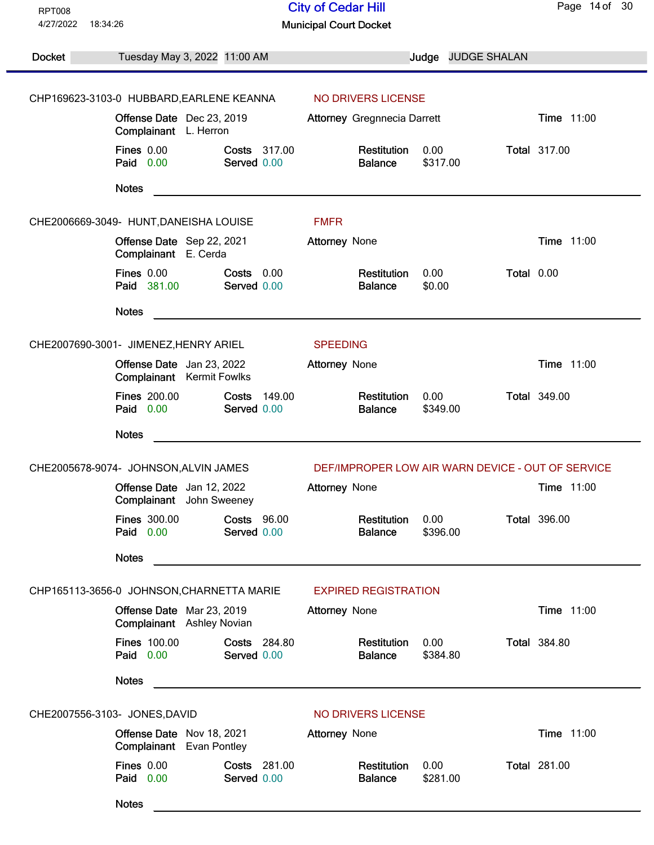| 18:34:26<br><b>Municipal Court Docket</b><br><b>Docket</b><br><b>JUDGE SHALAN</b><br>Tuesday May 3, 2022 11:00 AM<br>Judge<br>CHP169623-3103-0 HUBBARD, EARLENE KEANNA<br>NO DRIVERS LICENSE<br>Time 11:00<br>Offense Date Dec 23, 2019<br><b>Attorney Gregnnecia Darrett</b><br>Complainant L. Herron<br><b>Fines 0.00</b><br>0.00<br><b>Total 317.00</b><br><b>Costs 317.00</b><br>Restitution<br>Paid 0.00<br>Served 0.00<br>\$317.00<br><b>Balance</b><br><b>Notes</b><br>CHE2006669-3049- HUNT, DANEISHA LOUISE<br><b>FMFR</b><br>Offense Date Sep 22, 2021<br><b>Time 11:00</b><br><b>Attorney None</b><br>Complainant E. Cerda<br>Fines 0.00<br>0.00<br>Total 0.00<br>$Costs$ $0.00$<br>Restitution<br>Paid 381.00<br>Served 0.00<br><b>Balance</b><br>\$0.00<br><b>Notes</b><br>CHE2007690-3001- JIMENEZ, HENRY ARIEL<br><b>SPEEDING</b><br>Time 11:00<br>Offense Date Jan 23, 2022<br>Attorney None<br><b>Complainant</b> Kermit Fowlks<br><b>Fines 200.00</b><br><b>Total 349.00</b><br>Costs<br>149.00<br>Restitution<br>0.00<br>Paid 0.00<br>Served 0.00<br><b>Balance</b><br>\$349.00<br><b>Notes</b><br><u> 1989 - Johann Harry Harry Harry Harry Harry Harry Harry Harry Harry Harry Harry Harry Harry Harry Harry Harry</u><br>DEF/IMPROPER LOW AIR WARN DEVICE - OUT OF SERVICE<br>CHE2005678-9074- JOHNSON, ALVIN JAMES<br>Time 11:00<br>Offense Date Jan 12, 2022<br><b>Attorney None</b><br>Complainant John Sweeney<br><b>Fines 300.00</b><br>Costs 96.00<br><b>Total 396.00</b><br>Restitution<br>0.00<br>Paid 0.00<br>Served 0.00<br>\$396.00<br><b>Balance</b><br><b>Notes</b><br>CHP165113-3656-0 JOHNSON, CHARNETTA MARIE<br><b>EXPIRED REGISTRATION</b><br>Offense Date Mar 23, 2019<br>Time 11:00<br><b>Attorney None</b><br>Complainant Ashley Novian<br><b>Fines 100.00</b><br><b>Costs 284.80</b><br>0.00<br><b>Total 384.80</b><br>Restitution<br>Paid 0.00<br>Served 0.00<br>\$384.80<br><b>Balance</b><br><b>Notes</b><br>CHE2007556-3103- JONES, DAVID<br>NO DRIVERS LICENSE<br>Time 11:00<br>Offense Date Nov 18, 2021<br><b>Attorney None</b><br>Complainant Evan Pontley<br><b>Total 281.00</b><br><b>Fines 0.00</b><br>Costs 281.00<br>Restitution<br>0.00<br>Paid 0.00<br>Served 0.00<br><b>Balance</b><br>\$281.00<br><b>Notes</b> | <b>RPT008</b><br>4/27/2022 |  | <b>City of Cedar Hill</b> |  | Page 14 of 30 |
|-----------------------------------------------------------------------------------------------------------------------------------------------------------------------------------------------------------------------------------------------------------------------------------------------------------------------------------------------------------------------------------------------------------------------------------------------------------------------------------------------------------------------------------------------------------------------------------------------------------------------------------------------------------------------------------------------------------------------------------------------------------------------------------------------------------------------------------------------------------------------------------------------------------------------------------------------------------------------------------------------------------------------------------------------------------------------------------------------------------------------------------------------------------------------------------------------------------------------------------------------------------------------------------------------------------------------------------------------------------------------------------------------------------------------------------------------------------------------------------------------------------------------------------------------------------------------------------------------------------------------------------------------------------------------------------------------------------------------------------------------------------------------------------------------------------------------------------------------------------------------------------------------------------------------------------------------------------------------------------------------------------------------------------------------------------------------------------------------------------------------------------------------------------------------------------------------------------------------------------------------------------------------------|----------------------------|--|---------------------------|--|---------------|
|                                                                                                                                                                                                                                                                                                                                                                                                                                                                                                                                                                                                                                                                                                                                                                                                                                                                                                                                                                                                                                                                                                                                                                                                                                                                                                                                                                                                                                                                                                                                                                                                                                                                                                                                                                                                                                                                                                                                                                                                                                                                                                                                                                                                                                                                             |                            |  |                           |  |               |
|                                                                                                                                                                                                                                                                                                                                                                                                                                                                                                                                                                                                                                                                                                                                                                                                                                                                                                                                                                                                                                                                                                                                                                                                                                                                                                                                                                                                                                                                                                                                                                                                                                                                                                                                                                                                                                                                                                                                                                                                                                                                                                                                                                                                                                                                             |                            |  |                           |  |               |
|                                                                                                                                                                                                                                                                                                                                                                                                                                                                                                                                                                                                                                                                                                                                                                                                                                                                                                                                                                                                                                                                                                                                                                                                                                                                                                                                                                                                                                                                                                                                                                                                                                                                                                                                                                                                                                                                                                                                                                                                                                                                                                                                                                                                                                                                             |                            |  |                           |  |               |
|                                                                                                                                                                                                                                                                                                                                                                                                                                                                                                                                                                                                                                                                                                                                                                                                                                                                                                                                                                                                                                                                                                                                                                                                                                                                                                                                                                                                                                                                                                                                                                                                                                                                                                                                                                                                                                                                                                                                                                                                                                                                                                                                                                                                                                                                             |                            |  |                           |  |               |
|                                                                                                                                                                                                                                                                                                                                                                                                                                                                                                                                                                                                                                                                                                                                                                                                                                                                                                                                                                                                                                                                                                                                                                                                                                                                                                                                                                                                                                                                                                                                                                                                                                                                                                                                                                                                                                                                                                                                                                                                                                                                                                                                                                                                                                                                             |                            |  |                           |  |               |
|                                                                                                                                                                                                                                                                                                                                                                                                                                                                                                                                                                                                                                                                                                                                                                                                                                                                                                                                                                                                                                                                                                                                                                                                                                                                                                                                                                                                                                                                                                                                                                                                                                                                                                                                                                                                                                                                                                                                                                                                                                                                                                                                                                                                                                                                             |                            |  |                           |  |               |
|                                                                                                                                                                                                                                                                                                                                                                                                                                                                                                                                                                                                                                                                                                                                                                                                                                                                                                                                                                                                                                                                                                                                                                                                                                                                                                                                                                                                                                                                                                                                                                                                                                                                                                                                                                                                                                                                                                                                                                                                                                                                                                                                                                                                                                                                             |                            |  |                           |  |               |
|                                                                                                                                                                                                                                                                                                                                                                                                                                                                                                                                                                                                                                                                                                                                                                                                                                                                                                                                                                                                                                                                                                                                                                                                                                                                                                                                                                                                                                                                                                                                                                                                                                                                                                                                                                                                                                                                                                                                                                                                                                                                                                                                                                                                                                                                             |                            |  |                           |  |               |
|                                                                                                                                                                                                                                                                                                                                                                                                                                                                                                                                                                                                                                                                                                                                                                                                                                                                                                                                                                                                                                                                                                                                                                                                                                                                                                                                                                                                                                                                                                                                                                                                                                                                                                                                                                                                                                                                                                                                                                                                                                                                                                                                                                                                                                                                             |                            |  |                           |  |               |
|                                                                                                                                                                                                                                                                                                                                                                                                                                                                                                                                                                                                                                                                                                                                                                                                                                                                                                                                                                                                                                                                                                                                                                                                                                                                                                                                                                                                                                                                                                                                                                                                                                                                                                                                                                                                                                                                                                                                                                                                                                                                                                                                                                                                                                                                             |                            |  |                           |  |               |
|                                                                                                                                                                                                                                                                                                                                                                                                                                                                                                                                                                                                                                                                                                                                                                                                                                                                                                                                                                                                                                                                                                                                                                                                                                                                                                                                                                                                                                                                                                                                                                                                                                                                                                                                                                                                                                                                                                                                                                                                                                                                                                                                                                                                                                                                             |                            |  |                           |  |               |
|                                                                                                                                                                                                                                                                                                                                                                                                                                                                                                                                                                                                                                                                                                                                                                                                                                                                                                                                                                                                                                                                                                                                                                                                                                                                                                                                                                                                                                                                                                                                                                                                                                                                                                                                                                                                                                                                                                                                                                                                                                                                                                                                                                                                                                                                             |                            |  |                           |  |               |
|                                                                                                                                                                                                                                                                                                                                                                                                                                                                                                                                                                                                                                                                                                                                                                                                                                                                                                                                                                                                                                                                                                                                                                                                                                                                                                                                                                                                                                                                                                                                                                                                                                                                                                                                                                                                                                                                                                                                                                                                                                                                                                                                                                                                                                                                             |                            |  |                           |  |               |
|                                                                                                                                                                                                                                                                                                                                                                                                                                                                                                                                                                                                                                                                                                                                                                                                                                                                                                                                                                                                                                                                                                                                                                                                                                                                                                                                                                                                                                                                                                                                                                                                                                                                                                                                                                                                                                                                                                                                                                                                                                                                                                                                                                                                                                                                             |                            |  |                           |  |               |
|                                                                                                                                                                                                                                                                                                                                                                                                                                                                                                                                                                                                                                                                                                                                                                                                                                                                                                                                                                                                                                                                                                                                                                                                                                                                                                                                                                                                                                                                                                                                                                                                                                                                                                                                                                                                                                                                                                                                                                                                                                                                                                                                                                                                                                                                             |                            |  |                           |  |               |
|                                                                                                                                                                                                                                                                                                                                                                                                                                                                                                                                                                                                                                                                                                                                                                                                                                                                                                                                                                                                                                                                                                                                                                                                                                                                                                                                                                                                                                                                                                                                                                                                                                                                                                                                                                                                                                                                                                                                                                                                                                                                                                                                                                                                                                                                             |                            |  |                           |  |               |
|                                                                                                                                                                                                                                                                                                                                                                                                                                                                                                                                                                                                                                                                                                                                                                                                                                                                                                                                                                                                                                                                                                                                                                                                                                                                                                                                                                                                                                                                                                                                                                                                                                                                                                                                                                                                                                                                                                                                                                                                                                                                                                                                                                                                                                                                             |                            |  |                           |  |               |
|                                                                                                                                                                                                                                                                                                                                                                                                                                                                                                                                                                                                                                                                                                                                                                                                                                                                                                                                                                                                                                                                                                                                                                                                                                                                                                                                                                                                                                                                                                                                                                                                                                                                                                                                                                                                                                                                                                                                                                                                                                                                                                                                                                                                                                                                             |                            |  |                           |  |               |
|                                                                                                                                                                                                                                                                                                                                                                                                                                                                                                                                                                                                                                                                                                                                                                                                                                                                                                                                                                                                                                                                                                                                                                                                                                                                                                                                                                                                                                                                                                                                                                                                                                                                                                                                                                                                                                                                                                                                                                                                                                                                                                                                                                                                                                                                             |                            |  |                           |  |               |
|                                                                                                                                                                                                                                                                                                                                                                                                                                                                                                                                                                                                                                                                                                                                                                                                                                                                                                                                                                                                                                                                                                                                                                                                                                                                                                                                                                                                                                                                                                                                                                                                                                                                                                                                                                                                                                                                                                                                                                                                                                                                                                                                                                                                                                                                             |                            |  |                           |  |               |
|                                                                                                                                                                                                                                                                                                                                                                                                                                                                                                                                                                                                                                                                                                                                                                                                                                                                                                                                                                                                                                                                                                                                                                                                                                                                                                                                                                                                                                                                                                                                                                                                                                                                                                                                                                                                                                                                                                                                                                                                                                                                                                                                                                                                                                                                             |                            |  |                           |  |               |
|                                                                                                                                                                                                                                                                                                                                                                                                                                                                                                                                                                                                                                                                                                                                                                                                                                                                                                                                                                                                                                                                                                                                                                                                                                                                                                                                                                                                                                                                                                                                                                                                                                                                                                                                                                                                                                                                                                                                                                                                                                                                                                                                                                                                                                                                             |                            |  |                           |  |               |
|                                                                                                                                                                                                                                                                                                                                                                                                                                                                                                                                                                                                                                                                                                                                                                                                                                                                                                                                                                                                                                                                                                                                                                                                                                                                                                                                                                                                                                                                                                                                                                                                                                                                                                                                                                                                                                                                                                                                                                                                                                                                                                                                                                                                                                                                             |                            |  |                           |  |               |
|                                                                                                                                                                                                                                                                                                                                                                                                                                                                                                                                                                                                                                                                                                                                                                                                                                                                                                                                                                                                                                                                                                                                                                                                                                                                                                                                                                                                                                                                                                                                                                                                                                                                                                                                                                                                                                                                                                                                                                                                                                                                                                                                                                                                                                                                             |                            |  |                           |  |               |
|                                                                                                                                                                                                                                                                                                                                                                                                                                                                                                                                                                                                                                                                                                                                                                                                                                                                                                                                                                                                                                                                                                                                                                                                                                                                                                                                                                                                                                                                                                                                                                                                                                                                                                                                                                                                                                                                                                                                                                                                                                                                                                                                                                                                                                                                             |                            |  |                           |  |               |
|                                                                                                                                                                                                                                                                                                                                                                                                                                                                                                                                                                                                                                                                                                                                                                                                                                                                                                                                                                                                                                                                                                                                                                                                                                                                                                                                                                                                                                                                                                                                                                                                                                                                                                                                                                                                                                                                                                                                                                                                                                                                                                                                                                                                                                                                             |                            |  |                           |  |               |
|                                                                                                                                                                                                                                                                                                                                                                                                                                                                                                                                                                                                                                                                                                                                                                                                                                                                                                                                                                                                                                                                                                                                                                                                                                                                                                                                                                                                                                                                                                                                                                                                                                                                                                                                                                                                                                                                                                                                                                                                                                                                                                                                                                                                                                                                             |                            |  |                           |  |               |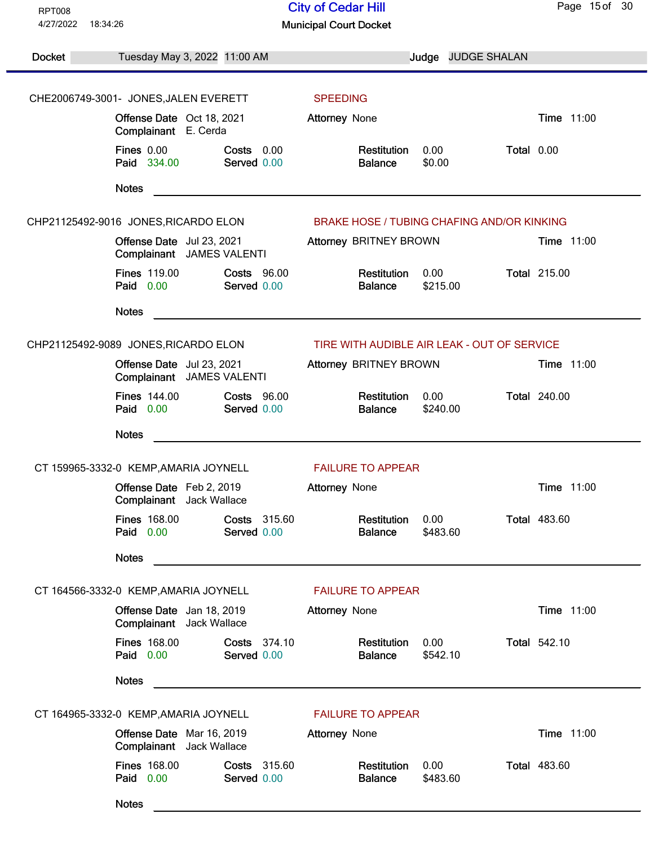| <b>RPT008</b><br>4/27/2022<br>18:34:26 |                                                        | <b>City of Cedar Hill</b><br><b>Municipal Court Docket</b> |                                                   |                  |                    | Page 15 of 30       |
|----------------------------------------|--------------------------------------------------------|------------------------------------------------------------|---------------------------------------------------|------------------|--------------------|---------------------|
|                                        |                                                        |                                                            |                                                   |                  |                    |                     |
| <b>Docket</b>                          | Tuesday May 3, 2022 11:00 AM                           |                                                            |                                                   |                  | Judge JUDGE SHALAN |                     |
|                                        | CHE2006749-3001- JONES, JALEN EVERETT                  |                                                            | <b>SPEEDING</b>                                   |                  |                    |                     |
|                                        | Offense Date Oct 18, 2021                              |                                                            | Attorney None                                     |                  |                    | Time 11:00          |
|                                        | Complainant E. Cerda                                   |                                                            |                                                   |                  |                    |                     |
|                                        | <b>Fines 0.00</b><br>Paid 334.00                       | Costs 0.00<br>Served 0.00                                  | Restitution<br><b>Balance</b>                     | 0.00<br>\$0.00   | Total 0.00         |                     |
|                                        | <b>Notes</b>                                           |                                                            |                                                   |                  |                    |                     |
|                                        | CHP21125492-9016 JONES, RICARDO ELON                   |                                                            | <b>BRAKE HOSE / TUBING CHAFING AND/OR KINKING</b> |                  |                    |                     |
|                                        | Offense Date Jul 23, 2021<br>Complainant JAMES VALENTI |                                                            | Attorney BRITNEY BROWN                            |                  |                    | Time 11:00          |
|                                        | <b>Fines 119.00</b><br>Paid 0.00                       | <b>Costs 96.00</b><br>Served 0.00                          | Restitution<br><b>Balance</b>                     | 0.00<br>\$215.00 |                    | <b>Total 215.00</b> |
|                                        | <b>Notes</b>                                           |                                                            |                                                   |                  |                    |                     |
|                                        | CHP21125492-9089 JONES, RICARDO ELON                   |                                                            | TIRE WITH AUDIBLE AIR LEAK - OUT OF SERVICE       |                  |                    |                     |
|                                        | Offense Date Jul 23, 2021<br>Complainant JAMES VALENTI |                                                            | Attorney BRITNEY BROWN                            |                  |                    | Time 11:00          |
|                                        | <b>Fines 144.00</b><br>Paid 0.00                       | <b>Costs 96.00</b><br>Served 0.00                          | Restitution<br><b>Balance</b>                     | 0.00<br>\$240.00 |                    | <b>Total 240.00</b> |
|                                        | <b>Notes</b>                                           |                                                            |                                                   |                  |                    |                     |
|                                        | CT 159965-3332-0 KEMP, AMARIA JOYNELL                  |                                                            | <b>FAILURE TO APPEAR</b>                          |                  |                    |                     |
|                                        | Offense Date Feb 2, 2019<br>Complainant Jack Wallace   |                                                            | <b>Attorney None</b>                              |                  |                    | Time 11:00          |
|                                        | <b>Fines 168.00</b><br>Paid 0.00                       | Costs 315.60<br>Served 0.00                                | Restitution<br><b>Balance</b>                     | 0.00<br>\$483.60 |                    | <b>Total 483.60</b> |
|                                        | <b>Notes</b>                                           |                                                            |                                                   |                  |                    |                     |
|                                        | CT 164566-3332-0 KEMP, AMARIA JOYNELL                  |                                                            | <b>FAILURE TO APPEAR</b>                          |                  |                    |                     |
|                                        | Offense Date Jan 18, 2019<br>Complainant Jack Wallace  |                                                            | <b>Attorney None</b>                              |                  |                    | Time 11:00          |
|                                        | <b>Fines 168.00</b><br>Paid 0.00                       | Costs 374.10<br>Served 0.00                                | Restitution<br><b>Balance</b>                     | 0.00<br>\$542.10 |                    | <b>Total 542.10</b> |
|                                        | <b>Notes</b>                                           |                                                            |                                                   |                  |                    |                     |
| CT 164965-3332-0 KEMP, AMARIA JOYNELL  |                                                        | <b>FAILURE TO APPEAR</b>                                   |                                                   |                  |                    |                     |
|                                        | Offense Date Mar 16, 2019<br>Complainant Jack Wallace  |                                                            | <b>Attorney None</b>                              |                  |                    | Time 11:00          |
|                                        | <b>Fines 168.00</b><br>Paid 0.00                       | Costs 315.60<br>Served 0.00                                | Restitution<br><b>Balance</b>                     | 0.00<br>\$483.60 |                    | <b>Total 483.60</b> |
|                                        | <b>Notes</b>                                           |                                                            |                                                   |                  |                    |                     |
|                                        |                                                        |                                                            |                                                   |                  |                    |                     |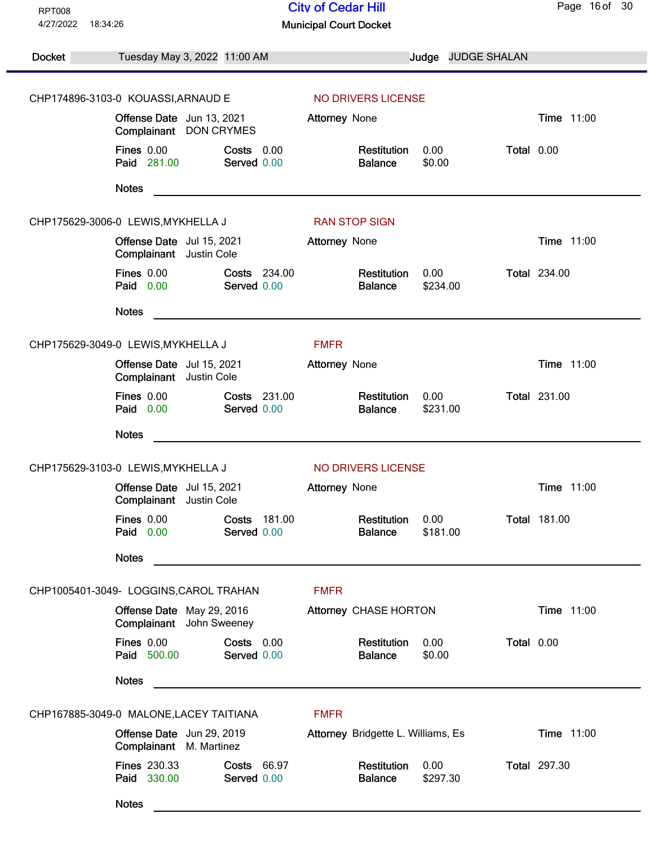| <b>RPT008</b>         |                                                       |                                    | <b>City of Cedar Hill</b>          |                  |                    | Page 16 of 30       |
|-----------------------|-------------------------------------------------------|------------------------------------|------------------------------------|------------------|--------------------|---------------------|
| 4/27/2022<br>18:34:26 |                                                       |                                    | <b>Municipal Court Docket</b>      |                  |                    |                     |
| <b>Docket</b>         | Tuesday May 3, 2022 11:00 AM                          |                                    |                                    |                  | Judge JUDGE SHALAN |                     |
|                       | CHP174896-3103-0 KOUASSI, ARNAUD E                    |                                    | NO DRIVERS LICENSE                 |                  |                    |                     |
|                       | Offense Date Jun 13, 2021<br>Complainant DON CRYMES   |                                    | Attorney None                      |                  |                    | Time 11:00          |
|                       | <b>Fines 0.00</b><br>Paid 281.00                      | Costs 0.00<br>Served 0.00          | Restitution<br><b>Balance</b>      | 0.00<br>\$0.00   | Total 0.00         |                     |
|                       | <b>Notes</b>                                          |                                    |                                    |                  |                    |                     |
|                       | CHP175629-3006-0 LEWIS, MYKHELLA J                    |                                    | <b>RAN STOP SIGN</b>               |                  |                    |                     |
|                       | Offense Date Jul 15, 2021<br>Complainant Justin Cole  |                                    | <b>Attorney None</b>               |                  |                    | Time 11:00          |
|                       | Fines 0.00<br>Paid 0.00                               | Costs 234.00<br>Served 0.00        | Restitution<br><b>Balance</b>      | 0.00<br>\$234.00 |                    | <b>Total 234.00</b> |
|                       | <b>Notes</b>                                          |                                    |                                    |                  |                    |                     |
|                       | CHP175629-3049-0 LEWIS, MYKHELLA J                    |                                    | <b>FMFR</b>                        |                  |                    |                     |
|                       | Offense Date Jul 15, 2021<br>Complainant Justin Cole  |                                    | Attorney None                      |                  |                    | Time 11:00          |
|                       | <b>Fines 0.00</b><br>Paid 0.00                        | <b>Costs 231.00</b><br>Served 0.00 | Restitution<br><b>Balance</b>      | 0.00<br>\$231.00 |                    | <b>Total 231.00</b> |
|                       | <b>Notes</b>                                          |                                    |                                    |                  |                    |                     |
|                       | CHP175629-3103-0 LEWIS, MYKHELLA J                    |                                    | NO DRIVERS LICENSE                 |                  |                    |                     |
|                       | Offense Date Jul 15, 2021<br>Complainant Justin Cole  |                                    | <b>Attorney None</b>               |                  |                    | Time 11:00          |
|                       | <b>Fines 0.00</b><br>Paid 0.00                        | Costs 181.00<br>Served 0.00        | Restitution<br><b>Balance</b>      | 0.00<br>\$181.00 |                    | <b>Total 181.00</b> |
|                       | <b>Notes</b>                                          |                                    |                                    |                  |                    |                     |
|                       | CHP1005401-3049- LOGGINS, CAROL TRAHAN                |                                    | <b>FMFR</b>                        |                  |                    |                     |
|                       | Offense Date May 29, 2016<br>Complainant John Sweeney |                                    | Attorney CHASE HORTON              |                  |                    | Time 11:00          |
|                       | Fines 0.00<br>Paid 500.00                             | Costs 0.00<br>Served 0.00          | Restitution<br><b>Balance</b>      | 0.00<br>\$0.00   | Total 0.00         |                     |
|                       | <b>Notes</b>                                          |                                    |                                    |                  |                    |                     |
|                       | CHP167885-3049-0 MALONE, LACEY TAITIANA               |                                    | <b>FMFR</b>                        |                  |                    |                     |
|                       | Offense Date Jun 29, 2019<br>Complainant M. Martinez  |                                    | Attorney Bridgette L. Williams, Es |                  |                    | Time 11:00          |
|                       | <b>Fines 230.33</b><br>Paid 330.00                    | Costs 66.97<br>Served 0.00         | Restitution<br><b>Balance</b>      | 0.00<br>\$297.30 |                    | <b>Total 297.30</b> |
|                       | <b>Notes</b>                                          |                                    |                                    |                  |                    |                     |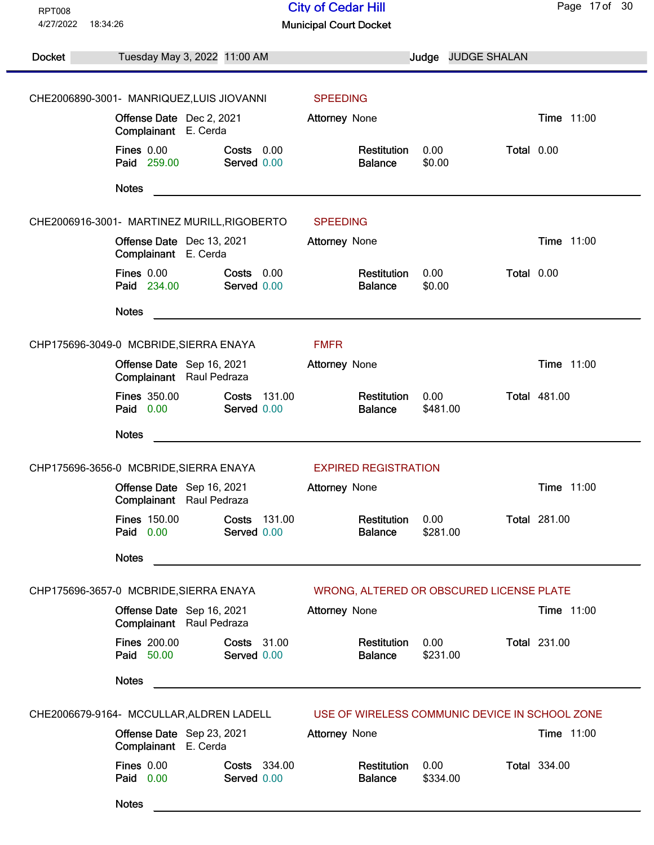| <b>RPT008</b><br>4/27/2022<br>18:34:26   |                                                       |                                                                                                                                                                                                                               | <b>City of Cedar Hill</b><br><b>Municipal Court Docket</b> |                  |                                                | Page 17 of 30       |
|------------------------------------------|-------------------------------------------------------|-------------------------------------------------------------------------------------------------------------------------------------------------------------------------------------------------------------------------------|------------------------------------------------------------|------------------|------------------------------------------------|---------------------|
|                                          |                                                       |                                                                                                                                                                                                                               |                                                            |                  |                                                |                     |
| Docket                                   | Tuesday May 3, 2022 11:00 AM                          |                                                                                                                                                                                                                               |                                                            | Judge            | <b>JUDGE SHALAN</b>                            |                     |
|                                          | CHE2006890-3001- MANRIQUEZ,LUIS JIOVANNI              |                                                                                                                                                                                                                               | <b>SPEEDING</b>                                            |                  |                                                |                     |
|                                          | Offense Date Dec 2, 2021<br>Complainant E. Cerda      |                                                                                                                                                                                                                               | <b>Attorney None</b>                                       |                  |                                                | Time 11:00          |
|                                          | <b>Fines 0.00</b><br>Paid 259.00                      | Costs 0.00<br>Served 0.00                                                                                                                                                                                                     | Restitution<br><b>Balance</b>                              | 0.00<br>\$0.00   | Total 0.00                                     |                     |
|                                          | <b>Notes</b>                                          |                                                                                                                                                                                                                               |                                                            |                  |                                                |                     |
|                                          | CHE2006916-3001- MARTINEZ MURILL, RIGOBERTO           |                                                                                                                                                                                                                               | <b>SPEEDING</b>                                            |                  |                                                |                     |
|                                          | Offense Date Dec 13, 2021<br>Complainant E. Cerda     |                                                                                                                                                                                                                               | <b>Attorney None</b>                                       |                  |                                                | Time 11:00          |
|                                          | <b>Fines 0.00</b><br><b>Paid</b> 234.00               | Costs 0.00<br>Served 0.00                                                                                                                                                                                                     | Restitution<br><b>Balance</b>                              | 0.00<br>\$0.00   | Total 0.00                                     |                     |
|                                          | <b>Notes</b>                                          |                                                                                                                                                                                                                               |                                                            |                  |                                                |                     |
|                                          | CHP175696-3049-0 MCBRIDE, SIERRA ENAYA                |                                                                                                                                                                                                                               | <b>FMFR</b>                                                |                  |                                                |                     |
|                                          | Offense Date Sep 16, 2021<br>Complainant Raul Pedraza |                                                                                                                                                                                                                               | Attorney None                                              |                  |                                                | Time 11:00          |
|                                          | <b>Fines 350.00</b><br>Paid 0.00                      | Costs<br>131.00<br>Served 0.00                                                                                                                                                                                                | Restitution<br><b>Balance</b>                              | 0.00<br>\$481.00 |                                                | <b>Total 481.00</b> |
|                                          | <b>Notes</b>                                          | the control of the control of the control of the control of the control of the control of the control of the control of the control of the control of the control of the control of the control of the control of the control |                                                            |                  |                                                |                     |
|                                          | CHP175696-3656-0 MCBRIDE, SIERRA ENAYA                |                                                                                                                                                                                                                               | <b>EXPIRED REGISTRATION</b>                                |                  |                                                |                     |
|                                          | Offense Date Sep 16, 2021<br>Complainant Raul Pedraza |                                                                                                                                                                                                                               | <b>Attorney None</b>                                       |                  |                                                | Time 11:00          |
|                                          | <b>Fines 150.00</b><br>Paid 0.00                      | Costs 131.00<br>Served 0.00                                                                                                                                                                                                   | Restitution<br><b>Balance</b>                              | 0.00<br>\$281.00 |                                                | <b>Total 281.00</b> |
|                                          | <b>Notes</b>                                          |                                                                                                                                                                                                                               |                                                            |                  |                                                |                     |
|                                          | CHP175696-3657-0 MCBRIDE, SIERRA ENAYA                |                                                                                                                                                                                                                               | WRONG, ALTERED OR OBSCURED LICENSE PLATE                   |                  |                                                |                     |
|                                          | Offense Date Sep 16, 2021<br>Complainant Raul Pedraza |                                                                                                                                                                                                                               | <b>Attorney None</b>                                       |                  |                                                | Time 11:00          |
|                                          | <b>Fines 200.00</b><br>Paid 50.00                     | <b>Costs</b> 31.00<br>Served 0.00                                                                                                                                                                                             | Restitution<br><b>Balance</b>                              | 0.00<br>\$231.00 |                                                | <b>Total 231.00</b> |
|                                          | <b>Notes</b>                                          |                                                                                                                                                                                                                               |                                                            |                  |                                                |                     |
| CHE2006679-9164- MCCULLAR, ALDREN LADELL |                                                       |                                                                                                                                                                                                                               |                                                            |                  | USE OF WIRELESS COMMUNIC DEVICE IN SCHOOL ZONE |                     |
|                                          | Offense Date Sep 23, 2021<br>Complainant E. Cerda     |                                                                                                                                                                                                                               | <b>Attorney None</b>                                       |                  |                                                | <b>Time 11:00</b>   |
|                                          | <b>Fines 0.00</b><br>Paid 0.00                        | Costs 334.00<br>Served 0.00                                                                                                                                                                                                   | Restitution<br><b>Balance</b>                              | 0.00<br>\$334.00 |                                                | <b>Total 334.00</b> |
|                                          | <b>Notes</b>                                          |                                                                                                                                                                                                                               |                                                            |                  |                                                |                     |
|                                          |                                                       |                                                                                                                                                                                                                               |                                                            |                  |                                                |                     |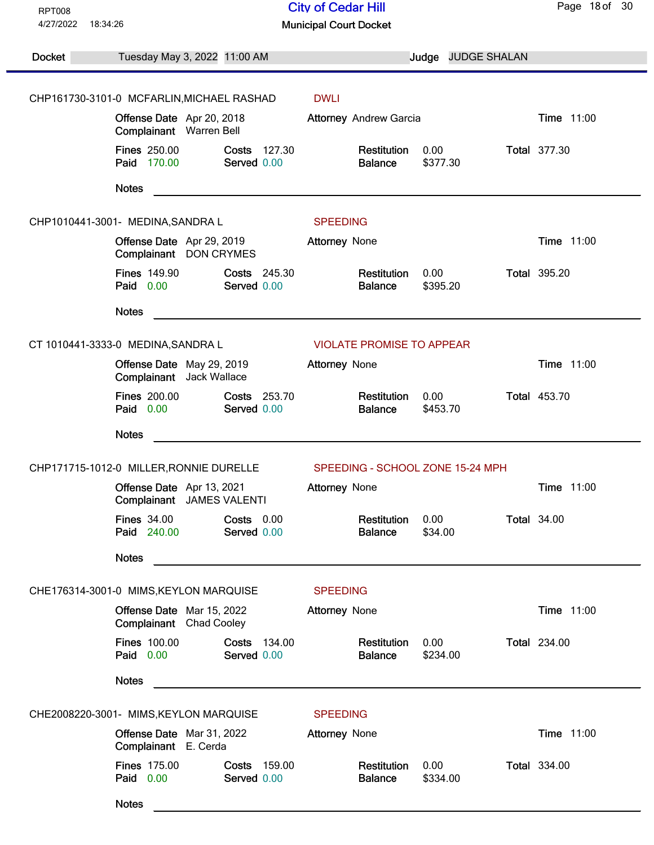| <b>RPT008</b>         |                                                        |                                    | <b>City of Cedar Hill</b>        |                    |  | Page 18 of 30       |
|-----------------------|--------------------------------------------------------|------------------------------------|----------------------------------|--------------------|--|---------------------|
| 4/27/2022<br>18:34:26 |                                                        |                                    | <b>Municipal Court Docket</b>    |                    |  |                     |
| <b>Docket</b>         | Tuesday May 3, 2022 11:00 AM                           |                                    |                                  | Judge JUDGE SHALAN |  |                     |
|                       | CHP161730-3101-0 MCFARLIN, MICHAEL RASHAD              |                                    | <b>DWLI</b>                      |                    |  |                     |
|                       | Offense Date Apr 20, 2018<br>Complainant Warren Bell   |                                    | <b>Attorney Andrew Garcia</b>    |                    |  | Time 11:00          |
|                       | <b>Fines 250.00</b><br>Paid 170.00                     | Costs 127.30<br>Served 0.00        | Restitution<br><b>Balance</b>    | 0.00<br>\$377.30   |  | <b>Total 377.30</b> |
|                       | <b>Notes</b>                                           |                                    |                                  |                    |  |                     |
|                       | CHP1010441-3001- MEDINA, SANDRA L                      |                                    | <b>SPEEDING</b>                  |                    |  |                     |
|                       | Offense Date Apr 29, 2019<br>Complainant DON CRYMES    |                                    | <b>Attorney None</b>             |                    |  | Time 11:00          |
|                       | <b>Fines 149.90</b><br>Paid 0.00                       | Costs 245.30<br>Served 0.00        | Restitution<br><b>Balance</b>    | 0.00<br>\$395.20   |  | <b>Total 395.20</b> |
|                       | <b>Notes</b>                                           |                                    |                                  |                    |  |                     |
|                       | CT 1010441-3333-0 MEDINA, SANDRA L                     |                                    | <b>VIOLATE PROMISE TO APPEAR</b> |                    |  |                     |
|                       | Offense Date May 29, 2019<br>Complainant Jack Wallace  |                                    | Attorney None                    |                    |  | Time 11:00          |
|                       | <b>Fines 200.00</b><br>Paid 0.00                       | <b>Costs</b> 253.70<br>Served 0.00 | Restitution<br><b>Balance</b>    | 0.00<br>\$453.70   |  | <b>Total 453.70</b> |
|                       | <b>Notes</b>                                           |                                    |                                  |                    |  |                     |
|                       | CHP171715-1012-0 MILLER, RONNIE DURELLE                |                                    | SPEEDING - SCHOOL ZONE 15-24 MPH |                    |  |                     |
|                       | Offense Date Apr 13, 2021<br>Complainant JAMES VALENTI |                                    | <b>Attorney None</b>             |                    |  | Time 11:00          |
|                       | <b>Fines 34.00</b><br>Paid 240.00                      | Costs 0.00<br>Served 0.00          | Restitution<br><b>Balance</b>    | 0.00<br>\$34.00    |  | <b>Total 34.00</b>  |
|                       | <b>Notes</b>                                           |                                    |                                  |                    |  |                     |
|                       | CHE176314-3001-0 MIMS, KEYLON MARQUISE                 |                                    | <b>SPEEDING</b>                  |                    |  |                     |
|                       | Offense Date Mar 15, 2022<br>Complainant Chad Cooley   |                                    | <b>Attorney None</b>             |                    |  | Time 11:00          |
|                       | <b>Fines 100.00</b><br>Paid 0.00                       | Costs 134.00<br>Served 0.00        | Restitution<br><b>Balance</b>    | 0.00<br>\$234.00   |  | <b>Total 234.00</b> |
|                       | <b>Notes</b>                                           |                                    |                                  |                    |  |                     |
|                       | CHE2008220-3001- MIMS, KEYLON MARQUISE                 |                                    | <b>SPEEDING</b>                  |                    |  |                     |
|                       | Offense Date Mar 31, 2022<br>Complainant E. Cerda      |                                    | <b>Attorney None</b>             |                    |  | Time 11:00          |
|                       | <b>Fines 175.00</b><br>Paid 0.00                       | Costs 159.00<br>Served 0.00        | Restitution<br><b>Balance</b>    | 0.00<br>\$334.00   |  | <b>Total 334.00</b> |
|                       | <b>Notes</b>                                           |                                    |                                  |                    |  |                     |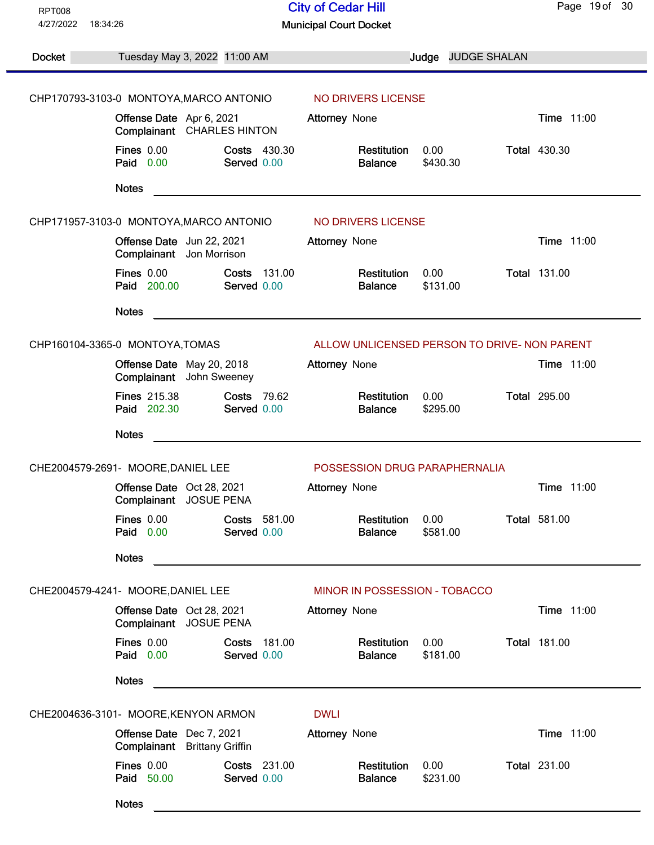| <b>RPT008</b><br>4/27/2022 | 18:34:26                                                                | <b>City of Cedar Hill</b>                                | Page 19 of 30       |
|----------------------------|-------------------------------------------------------------------------|----------------------------------------------------------|---------------------|
|                            |                                                                         | <b>Municipal Court Docket</b>                            |                     |
| <b>Docket</b>              | Tuesday May 3, 2022 11:00 AM                                            | Judge JUDGE SHALAN                                       |                     |
|                            | CHP170793-3103-0 MONTOYA, MARCO ANTONIO                                 | NO DRIVERS LICENSE                                       |                     |
|                            | Offense Date Apr 6, 2021                                                | <b>Attorney None</b>                                     | Time 11:00          |
|                            | Complainant CHARLES HINTON                                              |                                                          |                     |
|                            | <b>Fines 0.00</b><br><b>Costs 430.30</b><br>Paid 0.00<br>Served 0.00    | 0.00<br>Restitution<br><b>Balance</b><br>\$430.30        | <b>Total 430.30</b> |
|                            | <b>Notes</b>                                                            |                                                          |                     |
|                            | CHP171957-3103-0 MONTOYA, MARCO ANTONIO                                 | NO DRIVERS LICENSE                                       |                     |
|                            | Offense Date Jun 22, 2021<br>Complainant Jon Morrison                   | <b>Attorney None</b>                                     | <b>Time 11:00</b>   |
|                            | Fines 0.00<br>Costs<br>131.00<br>Paid 200.00<br>Served 0.00             | <b>Restitution</b><br>0.00<br>\$131.00<br><b>Balance</b> | <b>Total 131.00</b> |
|                            | <b>Notes</b>                                                            |                                                          |                     |
|                            | CHP160104-3365-0 MONTOYA, TOMAS                                         | ALLOW UNLICENSED PERSON TO DRIVE- NON PARENT             |                     |
|                            | Offense Date May 20, 2018<br>Complainant John Sweeney                   | Attorney None                                            | Time 11:00          |
|                            | <b>Fines 215.38</b><br><b>Costs 79.62</b><br>Paid 202.30<br>Served 0.00 | Restitution<br>0.00<br>\$295.00<br><b>Balance</b>        | <b>Total 295.00</b> |
|                            | <b>Notes</b>                                                            |                                                          |                     |
|                            | CHE2004579-2691- MOORE, DANIEL LEE                                      | POSSESSION DRUG PARAPHERNALIA                            |                     |
|                            | Offense Date Oct 28, 2021<br>Complainant JOSUE PENA                     | <b>Attorney None</b>                                     | Time 11:00          |
|                            | <b>Fines 0.00</b><br>Costs 581.00<br>Paid 0.00<br>Served 0.00           | Restitution<br>0.00<br>\$581.00<br><b>Balance</b>        | <b>Total 581.00</b> |
|                            | <b>Notes</b>                                                            |                                                          |                     |
|                            | CHE2004579-4241- MOORE, DANIEL LEE                                      | MINOR IN POSSESSION - TOBACCO                            |                     |
|                            | Offense Date Oct 28, 2021<br>Complainant JOSUE PENA                     | <b>Attorney None</b>                                     | Time 11:00          |
|                            | Fines 0.00<br>Costs<br>181.00<br>Paid 0.00<br>Served 0.00               | 0.00<br>Restitution<br>\$181.00<br><b>Balance</b>        | <b>Total 181.00</b> |
|                            | <b>Notes</b>                                                            |                                                          |                     |
|                            | CHE2004636-3101- MOORE, KENYON ARMON                                    | <b>DWLI</b>                                              |                     |
|                            | Offense Date Dec 7, 2021<br>Complainant Brittany Griffin                | Attorney None                                            | <b>Time 11:00</b>   |
|                            | <b>Fines 0.00</b><br><b>Costs 231.00</b><br>Paid 50.00<br>Served 0.00   | 0.00<br>Restitution<br><b>Balance</b><br>\$231.00        | <b>Total 231.00</b> |
|                            | <b>Notes</b>                                                            |                                                          |                     |
|                            |                                                                         |                                                          |                     |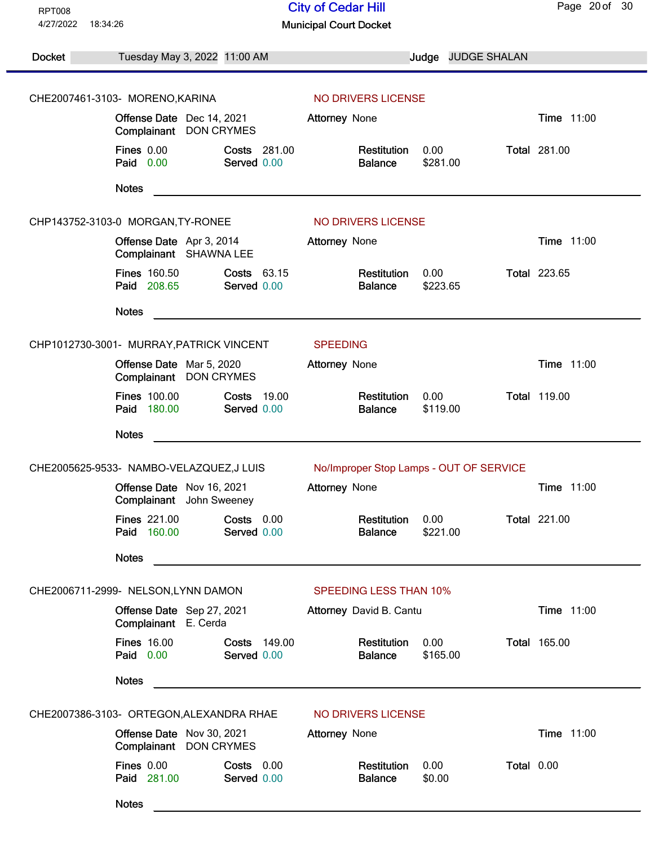| <b>RPT008</b>         |                                                                         | <b>City of Cedar Hill</b>                                     | Page 20 of 30       |
|-----------------------|-------------------------------------------------------------------------|---------------------------------------------------------------|---------------------|
| 4/27/2022<br>18:34:26 |                                                                         | <b>Municipal Court Docket</b>                                 |                     |
| Docket                | Tuesday May 3, 2022 11:00 AM                                            | Judge JUDGE SHALAN                                            |                     |
|                       |                                                                         |                                                               |                     |
|                       | CHE2007461-3103- MORENO, KARINA                                         | NO DRIVERS LICENSE                                            |                     |
|                       | Offense Date Dec 14, 2021<br>Complainant DON CRYMES                     | <b>Attorney None</b>                                          | Time 11:00          |
|                       | <b>Fines 0.00</b><br>Costs 281.00<br>Paid 0.00<br>Served 0.00           | 0.00<br>Restitution<br>\$281.00<br><b>Balance</b>             | <b>Total 281.00</b> |
|                       | <b>Notes</b>                                                            |                                                               |                     |
|                       | CHP143752-3103-0 MORGAN, TY-RONEE                                       | NO DRIVERS LICENSE                                            |                     |
|                       | Offense Date Apr 3, 2014<br>Complainant SHAWNA LEE                      | <b>Attorney None</b>                                          | <b>Time 11:00</b>   |
|                       | <b>Fines 160.50</b><br>Costs 63.15<br>Paid 208.65<br>Served 0.00        | 0.00<br>Restitution<br>\$223.65<br><b>Balance</b>             | <b>Total 223.65</b> |
|                       | <b>Notes</b>                                                            |                                                               |                     |
|                       | CHP1012730-3001- MURRAY, PATRICK VINCENT                                | <b>SPEEDING</b>                                               |                     |
|                       | Offense Date Mar 5, 2020<br>Complainant DON CRYMES                      | <b>Attorney None</b>                                          | <b>Time 11:00</b>   |
|                       | <b>Fines 100.00</b><br><b>Costs 19.00</b><br>Paid 180.00<br>Served 0.00 | Restitution<br>0.00<br><b>Balance</b><br>\$119.00             | <b>Total 119.00</b> |
|                       | <b>Notes</b>                                                            |                                                               |                     |
|                       | CHE2005625-9533- NAMBO-VELAZQUEZ,J LUIS                                 | No/Improper Stop Lamps - OUT OF SERVICE                       |                     |
|                       | Offense Date Nov 16, 2021<br>Complainant John Sweeney                   | <b>Attorney None</b>                                          | Time 11:00          |
|                       | <b>Fines 221.00</b><br>Costs 0.00<br>Paid 160.00<br>Served 0.00         | Restitution<br>0.00<br>\$221.00<br><b>Balance</b>             | <b>Total 221.00</b> |
|                       | <b>Notes</b>                                                            |                                                               |                     |
|                       | CHE2006711-2999- NELSON, LYNN DAMON                                     | <b>SPEEDING LESS THAN 10%</b>                                 |                     |
|                       | Offense Date Sep 27, 2021<br>Complainant E. Cerda                       | Attorney David B. Cantu                                       | Time 11:00          |
|                       | <b>Fines 16.00</b><br>Costs 149.00<br>Paid 0.00<br>Served 0.00          | Restitution<br>0.00<br>\$165.00<br><b>Balance</b>             | <b>Total 165.00</b> |
|                       | <b>Notes</b>                                                            |                                                               |                     |
|                       | CHE2007386-3103- ORTEGON, ALEXANDRA RHAE                                | NO DRIVERS LICENSE                                            |                     |
|                       | Offense Date Nov 30, 2021<br>Complainant DON CRYMES                     | <b>Attorney None</b>                                          | Time 11:00          |
|                       | <b>Fines 0.00</b><br>$Costs$ 0.00<br>Paid 281.00<br>Served 0.00         | 0.00<br>Total 0.00<br>Restitution<br>\$0.00<br><b>Balance</b> |                     |
|                       | <b>Notes</b>                                                            |                                                               |                     |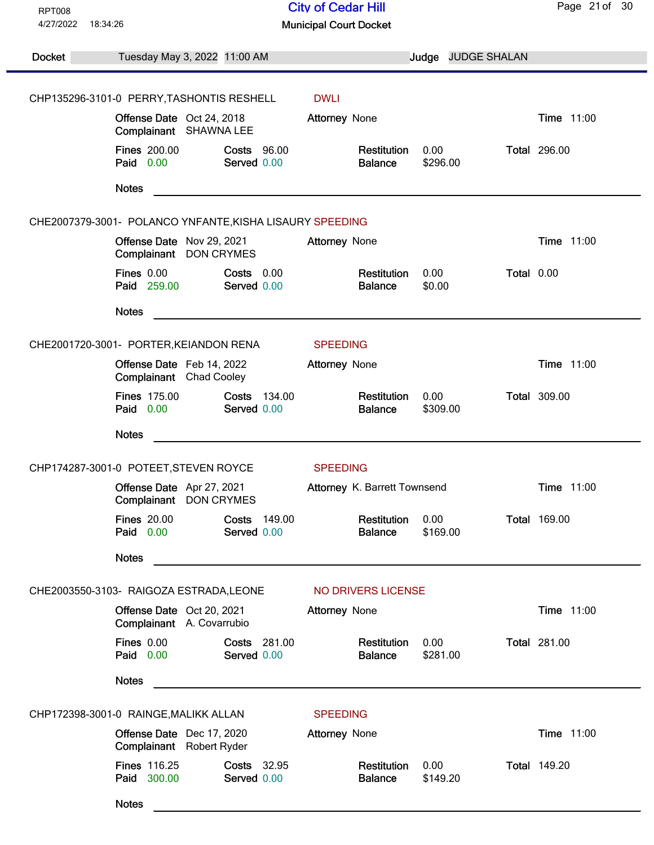| <b>RPT008</b> |                                                                       | <b>City of Cedar Hill</b>                         | Page 21 of 30       |
|---------------|-----------------------------------------------------------------------|---------------------------------------------------|---------------------|
| 4/27/2022     | 18:34:26                                                              | <b>Municipal Court Docket</b>                     |                     |
| <b>Docket</b> | Tuesday May 3, 2022 11:00 AM                                          | Judge JUDGE SHALAN                                |                     |
|               |                                                                       |                                                   |                     |
|               | CHP135296-3101-0 PERRY, TASHONTIS RESHELL                             | <b>DWLI</b>                                       |                     |
|               | Offense Date Oct 24, 2018<br>Complainant SHAWNA LEE                   | <b>Attorney None</b>                              | Time 11:00          |
|               | <b>Fines 200.00</b><br><b>Costs 96.00</b><br>Paid 0.00<br>Served 0.00 | Restitution<br>0.00<br>\$296.00<br><b>Balance</b> | <b>Total 296.00</b> |
|               | <b>Notes</b>                                                          |                                                   |                     |
|               | CHE2007379-3001- POLANCO YNFANTE, KISHA LISAURY SPEEDING              |                                                   |                     |
|               | Offense Date Nov 29, 2021<br>Complainant DON CRYMES                   | <b>Attorney None</b>                              | Time 11:00          |
|               | Fines 0.00<br>$Costs$ $0.00$<br>Paid 259.00<br>Served 0.00            | 0.00<br>Restitution<br>\$0.00<br><b>Balance</b>   | Total 0.00          |
|               | <b>Notes</b>                                                          |                                                   |                     |
|               | CHE2001720-3001- PORTER, KEIANDON RENA                                | <b>SPEEDING</b>                                   |                     |
|               | Offense Date Feb 14, 2022<br>Complainant Chad Cooley                  | <b>Attorney None</b>                              | Time 11:00          |
|               | <b>Fines 175.00</b><br>Costs 134.00<br>Paid 0.00<br>Served 0.00       | Restitution<br>0.00<br>\$309.00<br><b>Balance</b> | <b>Total 309.00</b> |
|               | <b>Notes</b>                                                          |                                                   |                     |
|               | CHP174287-3001-0 POTEET, STEVEN ROYCE                                 | <b>SPEEDING</b>                                   |                     |
|               | Offense Date Apr 27, 2021<br>Complainant DON CRYMES                   | Attorney K. Barrett Townsend                      | Time 11:00          |
|               | <b>Fines 20.00</b><br>Costs 149.00<br>Paid 0.00<br>Served 0.00        | Restitution<br>0.00<br>\$169.00<br><b>Balance</b> | <b>Total 169.00</b> |
|               | <b>Notes</b>                                                          |                                                   |                     |
|               | CHE2003550-3103- RAIGOZA ESTRADA, LEONE                               | NO DRIVERS LICENSE                                |                     |
|               | Offense Date Oct 20, 2021<br>Complainant A. Covarrubio                | <b>Attorney None</b>                              | Time 11:00          |
|               | Fines 0.00<br>Costs 281.00<br>Paid 0.00<br>Served 0.00                | 0.00<br>Restitution<br>\$281.00<br><b>Balance</b> | <b>Total 281.00</b> |
|               | <b>Notes</b>                                                          |                                                   |                     |
|               | CHP172398-3001-0 RAINGE, MALIKK ALLAN                                 | <b>SPEEDING</b>                                   |                     |
|               | Offense Date Dec 17, 2020<br>Complainant Robert Ryder                 | Attorney None                                     | Time 11:00          |
|               | <b>Fines 116.25</b><br>Costs 32.95<br>Paid 300.00<br>Served 0.00      | Restitution<br>0.00<br>\$149.20<br><b>Balance</b> | <b>Total 149.20</b> |
|               | <b>Notes</b>                                                          |                                                   |                     |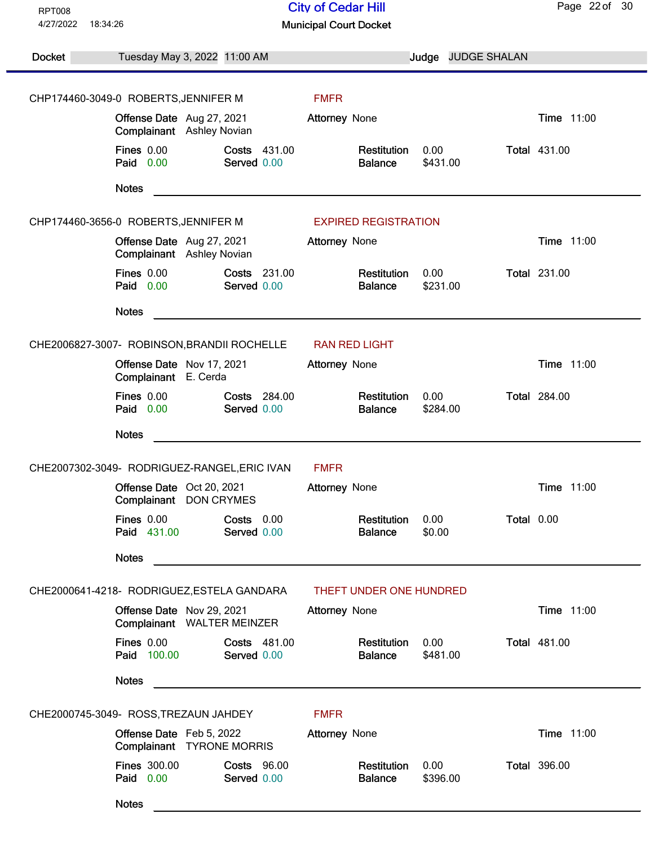| <b>RPT008</b> |                                                                       | <b>City of Cedar Hill</b>                                     | Page 22 of 30       |
|---------------|-----------------------------------------------------------------------|---------------------------------------------------------------|---------------------|
| 4/27/2022     | 18:34:26                                                              | <b>Municipal Court Docket</b>                                 |                     |
|               |                                                                       |                                                               |                     |
| Docket        | Tuesday May 3, 2022 11:00 AM                                          | <b>JUDGE SHALAN</b><br>Judge                                  |                     |
|               |                                                                       |                                                               |                     |
|               | CHP174460-3049-0 ROBERTS, JENNIFER M                                  | <b>FMFR</b>                                                   |                     |
|               | Offense Date Aug 27, 2021<br>Complainant Ashley Novian                | Attorney None                                                 | Time 11:00          |
|               | <b>Fines 0.00</b><br>Costs 431.00<br>Paid 0.00<br>Served 0.00         | 0.00<br>Restitution<br>\$431.00<br><b>Balance</b>             | <b>Total 431.00</b> |
|               | <b>Notes</b>                                                          |                                                               |                     |
|               | CHP174460-3656-0 ROBERTS, JENNIFER M                                  | <b>EXPIRED REGISTRATION</b>                                   |                     |
|               | Offense Date Aug 27, 2021<br>Complainant Ashley Novian                | <b>Attorney None</b>                                          | Time 11:00          |
|               | <b>Fines 0.00</b><br>Costs 231.00<br>Paid 0.00<br>Served 0.00         | 0.00<br>Restitution<br>\$231.00<br><b>Balance</b>             | <b>Total 231.00</b> |
|               | <b>Notes</b>                                                          |                                                               |                     |
|               | CHE2006827-3007- ROBINSON, BRANDII ROCHELLE                           | <b>RAN RED LIGHT</b>                                          |                     |
|               | Offense Date Nov 17, 2021                                             | <b>Attorney None</b>                                          | Time 11:00          |
|               | Complainant E. Cerda                                                  |                                                               |                     |
|               | <b>Fines 0.00</b><br>Costs 284.00<br>Paid 0.00<br>Served 0.00         | Restitution<br>0.00<br>\$284.00<br><b>Balance</b>             | <b>Total 284.00</b> |
|               | <b>Notes</b>                                                          |                                                               |                     |
|               | CHE2007302-3049- RODRIGUEZ-RANGEL, ERIC IVAN                          | <b>FMFR</b>                                                   |                     |
|               | Offense Date Oct 20, 2021<br>Complainant DON CRYMES                   | Attorney None                                                 | Time 11:00          |
|               | <b>Fines 0.00</b><br>Costs 0.00<br>Paid 431.00<br>Served 0.00         | Restitution<br>0.00<br>Total 0.00<br>\$0.00<br><b>Balance</b> |                     |
|               | <b>Notes</b>                                                          |                                                               |                     |
|               | CHE2000641-4218-RODRIGUEZ, ESTELA GANDARA                             | THEFT UNDER ONE HUNDRED                                       |                     |
|               | Offense Date Nov 29, 2021<br>Complainant WALTER MEINZER               | <b>Attorney None</b>                                          | Time 11:00          |
|               | Fines 0.00<br>Costs 481.00<br>Paid 100.00<br>Served 0.00              | 0.00<br>Restitution<br>\$481.00<br><b>Balance</b>             | <b>Total 481.00</b> |
|               | <b>Notes</b>                                                          |                                                               |                     |
|               | CHE2000745-3049- ROSS, TREZAUN JAHDEY                                 | <b>FMFR</b>                                                   |                     |
|               | Offense Date Feb 5, 2022<br>Complainant TYRONE MORRIS                 | Attorney None                                                 | Time 11:00          |
|               | <b>Fines 300.00</b><br><b>Costs 96.00</b><br>Paid 0.00<br>Served 0.00 | Restitution<br>0.00<br>\$396.00<br><b>Balance</b>             | <b>Total 396.00</b> |
|               | <b>Notes</b>                                                          |                                                               |                     |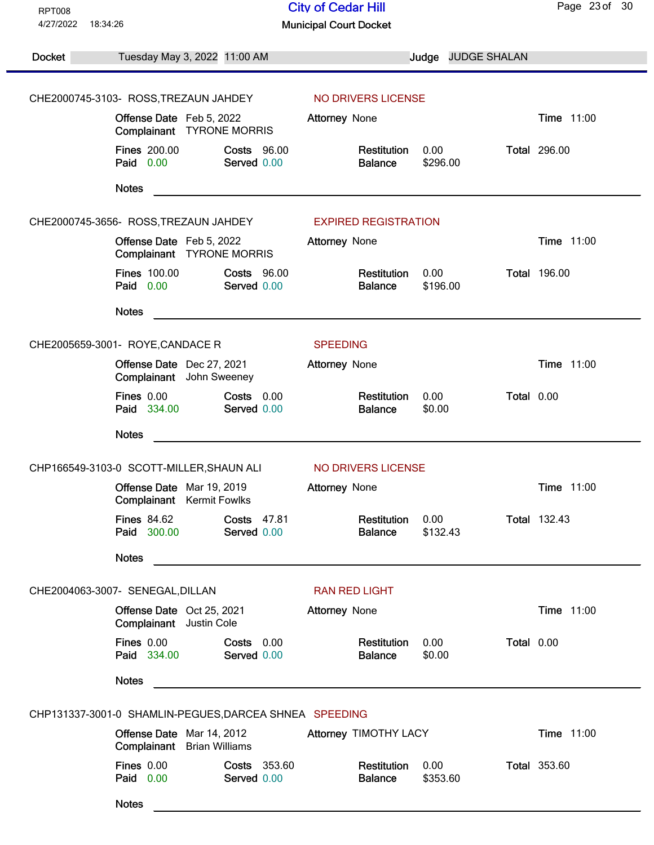| <b>RPT008</b><br>4/27/2022<br>18:34:26 |                                                                | <b>City of Cedar Hill</b><br><b>Municipal Court Docket</b> |                                                                                                                       |                  |                    | Page 23 of 30       |
|----------------------------------------|----------------------------------------------------------------|------------------------------------------------------------|-----------------------------------------------------------------------------------------------------------------------|------------------|--------------------|---------------------|
|                                        |                                                                |                                                            |                                                                                                                       |                  |                    |                     |
| <b>Docket</b>                          | Tuesday May 3, 2022 11:00 AM                                   |                                                            |                                                                                                                       |                  | Judge JUDGE SHALAN |                     |
|                                        | CHE2000745-3103- ROSS, TREZAUN JAHDEY                          |                                                            | NO DRIVERS LICENSE                                                                                                    |                  |                    |                     |
|                                        | Offense Date Feb 5, 2022<br>Complainant TYRONE MORRIS          |                                                            | <b>Attorney None</b>                                                                                                  |                  |                    | Time 11:00          |
|                                        | <b>Fines 200.00</b><br>Paid 0.00                               | <b>Costs 96.00</b><br>Served 0.00                          | Restitution<br><b>Balance</b>                                                                                         | 0.00<br>\$296.00 |                    | <b>Total 296.00</b> |
|                                        | <b>Notes</b>                                                   |                                                            |                                                                                                                       |                  |                    |                     |
|                                        | CHE2000745-3656- ROSS, TREZAUN JAHDEY                          |                                                            | <b>EXPIRED REGISTRATION</b>                                                                                           |                  |                    |                     |
|                                        | Offense Date Feb 5, 2022<br>Complainant TYRONE MORRIS          |                                                            | Attorney None                                                                                                         |                  |                    | Time 11:00          |
|                                        | <b>Fines 100.00</b><br>Paid 0.00                               | <b>Costs 96.00</b><br>Served 0.00                          | Restitution<br><b>Balance</b>                                                                                         | 0.00<br>\$196.00 |                    | <b>Total 196.00</b> |
|                                        | <b>Notes</b>                                                   |                                                            |                                                                                                                       |                  |                    |                     |
|                                        | CHE2005659-3001- ROYE, CANDACE R                               |                                                            | <b>SPEEDING</b>                                                                                                       |                  |                    |                     |
|                                        | Offense Date Dec 27, 2021<br>Complainant John Sweeney          |                                                            | Attorney None                                                                                                         |                  |                    | Time 11:00          |
|                                        | <b>Fines 0.00</b><br>Paid 334.00                               | Costs 0.00<br>Served 0.00                                  | Restitution<br><b>Balance</b>                                                                                         | 0.00<br>\$0.00   | Total 0.00         |                     |
|                                        | <b>Notes</b>                                                   |                                                            |                                                                                                                       |                  |                    |                     |
|                                        | CHP166549-3103-0 SCOTT-MILLER, SHAUN ALI                       |                                                            | NO DRIVERS LICENSE                                                                                                    |                  |                    |                     |
|                                        | Offense Date Mar 19, 2019<br><b>Complainant</b> Kermit Fowlks  |                                                            | Attorney None                                                                                                         |                  |                    | Time 11:00          |
|                                        | <b>Fines 84.62</b><br>Paid 300.00                              | Costs 47.81<br>Served 0.00                                 | Restitution<br><b>Balance</b>                                                                                         | 0.00<br>\$132.43 |                    | <b>Total 132.43</b> |
|                                        | <b>Notes</b>                                                   |                                                            | <u> 1989 - Johann Harry Harry Harry Harry Harry Harry Harry Harry Harry Harry Harry Harry Harry Harry Harry Harry</u> |                  |                    |                     |
|                                        | CHE2004063-3007- SENEGAL, DILLAN                               |                                                            | <b>RAN RED LIGHT</b>                                                                                                  |                  |                    |                     |
|                                        | Offense Date Oct 25, 2021<br>Complainant Justin Cole           |                                                            | <b>Attorney None</b>                                                                                                  |                  |                    | <b>Time 11:00</b>   |
|                                        | <b>Fines 0.00</b><br>Paid 334.00                               | Costs 0.00<br>Served 0.00                                  | Restitution<br><b>Balance</b>                                                                                         | 0.00<br>\$0.00   | Total 0.00         |                     |
|                                        | <b>Notes</b>                                                   |                                                            |                                                                                                                       |                  |                    |                     |
|                                        | CHP131337-3001-0 SHAMLIN-PEGUES, DARCEA SHNEA SPEEDING         |                                                            |                                                                                                                       |                  |                    |                     |
|                                        | Offense Date Mar 14, 2012<br><b>Complainant</b> Brian Williams |                                                            | Attorney TIMOTHY LACY                                                                                                 |                  |                    | Time 11:00          |
|                                        | <b>Fines 0.00</b><br>Paid 0.00                                 | Costs 353.60<br>Served 0.00                                | Restitution<br><b>Balance</b>                                                                                         | 0.00<br>\$353.60 |                    | <b>Total 353.60</b> |
|                                        | <b>Notes</b>                                                   |                                                            |                                                                                                                       |                  |                    |                     |
|                                        |                                                                |                                                            |                                                                                                                       |                  |                    |                     |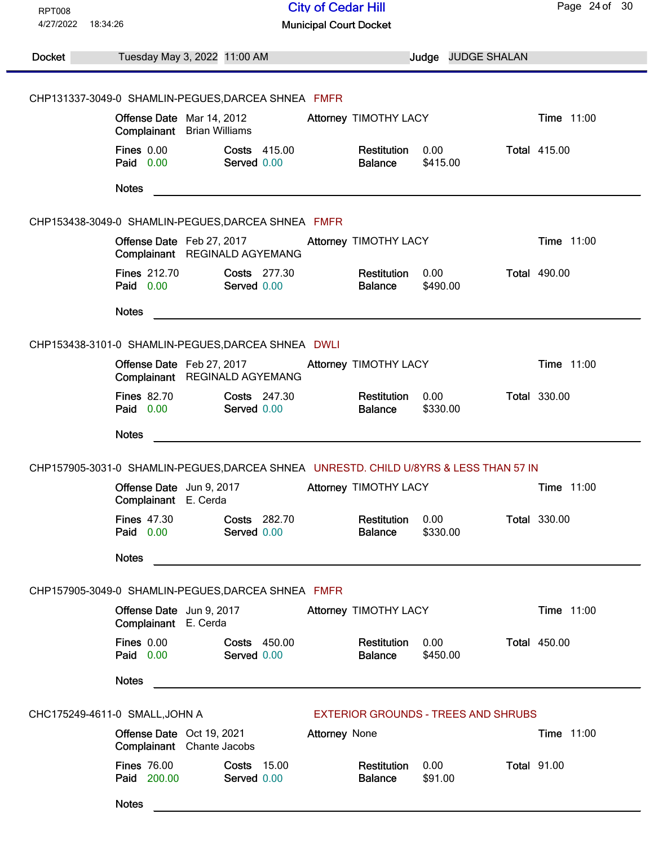| <b>RPT008</b><br>4/27/2022<br>18:34:26 |                                                                | <b>City of Cedar Hill</b><br><b>Municipal Court Docket</b>                            |                               |                                            | Page 24 of 30       |
|----------------------------------------|----------------------------------------------------------------|---------------------------------------------------------------------------------------|-------------------------------|--------------------------------------------|---------------------|
| Docket                                 | Tuesday May 3, 2022 11:00 AM                                   |                                                                                       |                               | Judge JUDGE SHALAN                         |                     |
|                                        |                                                                | CHP131337-3049-0 SHAMLIN-PEGUES, DARCEA SHNEA FMFR                                    |                               |                                            |                     |
|                                        | Offense Date Mar 14, 2012<br><b>Complainant</b> Brian Williams |                                                                                       | Attorney TIMOTHY LACY         |                                            | <b>Time 11:00</b>   |
|                                        | <b>Fines 0.00</b><br>Paid 0.00                                 | <b>Costs 415.00</b><br>Served 0.00                                                    | Restitution<br><b>Balance</b> | 0.00<br>\$415.00                           | <b>Total 415.00</b> |
|                                        | <b>Notes</b>                                                   |                                                                                       |                               |                                            |                     |
|                                        |                                                                | CHP153438-3049-0 SHAMLIN-PEGUES, DARCEA SHNEA FMFR                                    |                               |                                            |                     |
|                                        | Offense Date Feb 27, 2017<br>Complainant REGINALD AGYEMANG     |                                                                                       | Attorney TIMOTHY LACY         |                                            | <b>Time 11:00</b>   |
|                                        | <b>Fines 212.70</b><br>Paid 0.00                               | Costs 277.30<br>Served 0.00                                                           | Restitution<br><b>Balance</b> | 0.00<br>\$490.00                           | <b>Total 490.00</b> |
|                                        | <b>Notes</b>                                                   |                                                                                       |                               |                                            |                     |
|                                        |                                                                | CHP153438-3101-0 SHAMLIN-PEGUES, DARCEA SHNEA DWLI                                    |                               |                                            |                     |
|                                        | Offense Date Feb 27, 2017<br>Complainant REGINALD AGYEMANG     |                                                                                       | Attorney TIMOTHY LACY         |                                            | Time 11:00          |
|                                        | <b>Fines 82.70</b><br>Paid 0.00                                | <b>Costs 247.30</b><br>Served 0.00                                                    | Restitution<br><b>Balance</b> | 0.00<br>\$330.00                           | <b>Total 330.00</b> |
|                                        | <b>Notes</b>                                                   | <u> 1989 - Johann Stein, mars an deutscher Stein († 1958)</u>                         |                               |                                            |                     |
|                                        |                                                                | CHP157905-3031-0 SHAMLIN-PEGUES, DARCEA SHNEA UNRESTD. CHILD U/8YRS & LESS THAN 57 IN |                               |                                            |                     |
|                                        | Offense Date Jun 9, 2017<br>Complainant E. Cerda               |                                                                                       | Attorney TIMOTHY LACY         |                                            | Time 11:00          |
|                                        | <b>Fines 47.30</b><br>Paid 0.00                                | Costs 282.70<br>Served 0.00                                                           | Restitution<br><b>Balance</b> | 0.00<br>\$330.00                           | <b>Total 330.00</b> |
|                                        | <b>Notes</b>                                                   |                                                                                       |                               |                                            |                     |
|                                        |                                                                | CHP157905-3049-0 SHAMLIN-PEGUES, DARCEA SHNEA FMFR                                    |                               |                                            |                     |
|                                        | Offense Date Jun 9, 2017<br>Complainant E. Cerda               |                                                                                       | Attorney TIMOTHY LACY         |                                            | Time 11:00          |
|                                        | Fines 0.00<br>Paid 0.00                                        | Costs 450.00<br>Served 0.00                                                           | Restitution<br><b>Balance</b> | 0.00<br>\$450.00                           | <b>Total 450.00</b> |
|                                        | <b>Notes</b>                                                   |                                                                                       |                               |                                            |                     |
|                                        | CHC175249-4611-0 SMALL, JOHN A                                 |                                                                                       |                               | <b>EXTERIOR GROUNDS - TREES AND SHRUBS</b> |                     |
|                                        | Offense Date Oct 19, 2021<br>Complainant Chante Jacobs         | <b>Attorney None</b>                                                                  |                               |                                            | <b>Time 11:00</b>   |
|                                        | <b>Fines 76.00</b><br>Paid 200.00                              | <b>Costs 15.00</b><br>Served 0.00                                                     | Restitution<br><b>Balance</b> | 0.00<br>\$91.00                            | <b>Total 91.00</b>  |
|                                        | <b>Notes</b>                                                   |                                                                                       |                               |                                            |                     |
|                                        |                                                                |                                                                                       |                               |                                            |                     |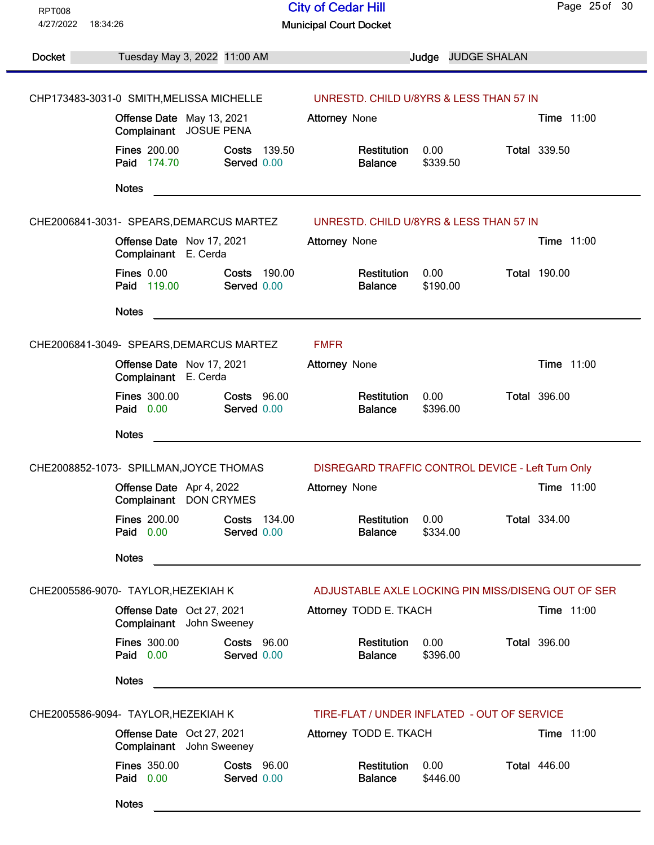| <b>RPT008</b> |                                                                          | <b>City of Cedar Hill</b>                                                                                             | Page 25 of 30       |
|---------------|--------------------------------------------------------------------------|-----------------------------------------------------------------------------------------------------------------------|---------------------|
| 4/27/2022     | 18:34:26                                                                 | <b>Municipal Court Docket</b>                                                                                         |                     |
|               |                                                                          |                                                                                                                       |                     |
| Docket        | Tuesday May 3, 2022 11:00 AM                                             | Judge JUDGE SHALAN                                                                                                    |                     |
|               |                                                                          |                                                                                                                       |                     |
|               | CHP173483-3031-0 SMITH, MELISSA MICHELLE                                 | UNRESTD. CHILD U/8YRS & LESS THAN 57 IN                                                                               |                     |
|               | Offense Date May 13, 2021<br>Complainant JOSUE PENA                      | Attorney None                                                                                                         | <b>Time 11:00</b>   |
|               | <b>Fines 200.00</b><br><b>Costs 139.50</b><br>Paid 174.70<br>Served 0.00 | 0.00<br>Restitution<br>\$339.50<br><b>Balance</b>                                                                     | <b>Total 339.50</b> |
|               | <b>Notes</b>                                                             | <u> 1989 - Johann Stoff, deutscher Stoff, der Stoff, der Stoff, der Stoff, der Stoff, der Stoff, der Stoff, der S</u> |                     |
|               |                                                                          | CHE2006841-3031- SPEARS, DEMARCUS MARTEZ UNRESTD. CHILD U/8YRS & LESS THAN 57 IN                                      |                     |
|               | Offense Date Nov 17, 2021<br>Complainant E. Cerda                        | <b>Attorney None</b>                                                                                                  | Time 11:00          |
|               | Fines 0.00<br>Costs 190.00<br>Paid 119.00<br>Served 0.00                 | 0.00<br>Restitution<br>\$190.00<br><b>Balance</b>                                                                     | <b>Total 190.00</b> |
|               | <b>Notes</b>                                                             |                                                                                                                       |                     |
|               | CHE2006841-3049- SPEARS, DEMARCUS MARTEZ                                 | <b>FMFR</b>                                                                                                           |                     |
|               | Offense Date Nov 17, 2021<br>Complainant E. Cerda                        | <b>Attorney None</b>                                                                                                  | Time 11:00          |
|               | <b>Fines 300.00</b><br><b>Costs 96.00</b><br>Paid 0.00<br>Served 0.00    | Restitution<br>0.00<br>\$396.00<br><b>Balance</b>                                                                     | <b>Total 396.00</b> |
|               | <b>Notes</b>                                                             |                                                                                                                       |                     |
|               | CHE2008852-1073- SPILLMAN, JOYCE THOMAS                                  | DISREGARD TRAFFIC CONTROL DEVICE - Left Turn Only                                                                     |                     |
|               | Offense Date Apr 4, 2022<br>Complainant DON CRYMES                       | <b>Attorney None</b>                                                                                                  | Time 11:00          |
|               | <b>Fines 200.00</b><br>Costs 134.00<br>Served 0.00<br>Paid 0.00          | Restitution<br>0.00<br>\$334.00<br><b>Balance</b>                                                                     | <b>Total 334.00</b> |
|               | <b>Notes</b>                                                             |                                                                                                                       |                     |
|               | CHE2005586-9070- TAYLOR, HEZEKIAH K                                      | ADJUSTABLE AXLE LOCKING PIN MISS/DISENG OUT OF SER                                                                    |                     |
|               | Offense Date Oct 27, 2021<br>Complainant John Sweeney                    | Attorney TODD E. TKACH                                                                                                | Time 11:00          |
|               | <b>Fines 300.00</b><br><b>Costs 96.00</b><br>Paid 0.00<br>Served 0.00    | 0.00<br>Restitution<br><b>Balance</b><br>\$396.00                                                                     | <b>Total 396.00</b> |
|               | <b>Notes</b>                                                             |                                                                                                                       |                     |
|               | CHE2005586-9094- TAYLOR, HEZEKIAH K                                      | TIRE-FLAT / UNDER INFLATED - OUT OF SERVICE                                                                           |                     |
|               | Offense Date Oct 27, 2021<br>Complainant John Sweeney                    | Attorney TODD E. TKACH                                                                                                | <b>Time 11:00</b>   |
|               | <b>Fines 350.00</b><br><b>Costs 96.00</b><br>Paid 0.00<br>Served 0.00    | Restitution<br>0.00<br><b>Balance</b><br>\$446.00                                                                     | <b>Total 446.00</b> |
|               | <b>Notes</b>                                                             |                                                                                                                       |                     |
|               |                                                                          |                                                                                                                       |                     |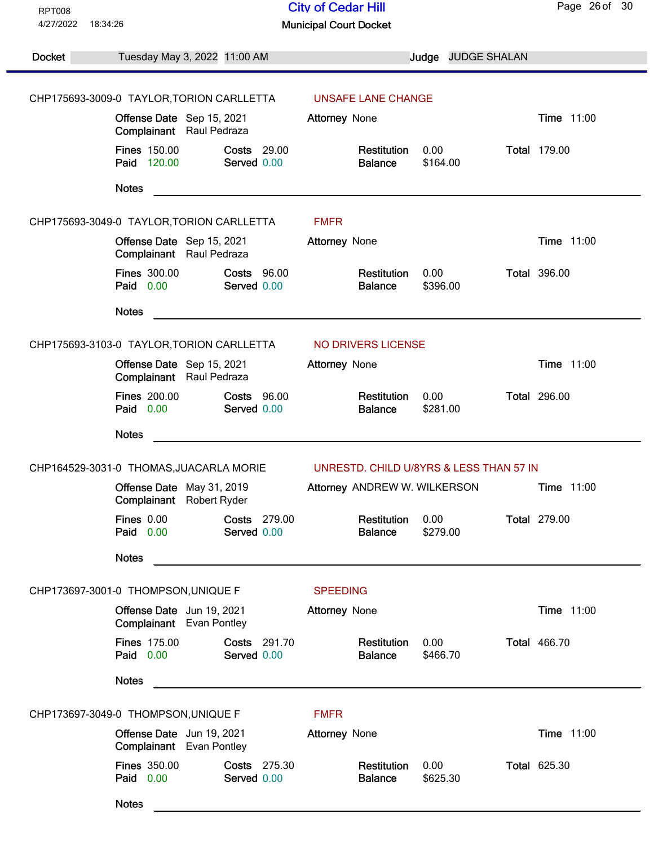| <b>RPT008</b> |                                                                         | <b>City of Cedar Hill</b>                         | Page 26 of 30       |
|---------------|-------------------------------------------------------------------------|---------------------------------------------------|---------------------|
| 4/27/2022     | 18:34:26                                                                | <b>Municipal Court Docket</b>                     |                     |
| Docket        | Tuesday May 3, 2022 11:00 AM                                            | Judge JUDGE SHALAN                                |                     |
|               |                                                                         |                                                   |                     |
|               | CHP175693-3009-0 TAYLOR, TORION CARLLETTA                               | UNSAFE LANE CHANGE                                |                     |
|               | Offense Date Sep 15, 2021<br>Complainant Raul Pedraza                   | <b>Attorney None</b>                              | Time 11:00          |
|               | <b>Fines 150.00</b><br><b>Costs 29.00</b><br>Served 0.00<br>Paid 120.00 | Restitution<br>0.00<br><b>Balance</b><br>\$164.00 | <b>Total 179.00</b> |
|               | <b>Notes</b>                                                            |                                                   |                     |
|               | CHP175693-3049-0 TAYLOR, TORION CARLLETTA                               | <b>FMFR</b>                                       |                     |
|               | Offense Date Sep 15, 2021<br>Complainant Raul Pedraza                   | <b>Attorney None</b>                              | Time 11:00          |
|               | <b>Fines 300.00</b><br><b>Costs 96.00</b><br>Paid 0.00<br>Served 0.00   | Restitution<br>0.00<br>\$396.00<br><b>Balance</b> | <b>Total 396.00</b> |
|               | <b>Notes</b>                                                            |                                                   |                     |
|               | CHP175693-3103-0 TAYLOR, TORION CARLLETTA                               | NO DRIVERS LICENSE                                |                     |
|               | Offense Date Sep 15, 2021<br>Complainant Raul Pedraza                   | Attorney None                                     | Time 11:00          |
|               | <b>Fines 200.00</b><br><b>Costs 96.00</b><br>Paid 0.00<br>Served 0.00   | Restitution<br>0.00<br>\$281.00<br><b>Balance</b> | <b>Total 296.00</b> |
|               | <b>Notes</b>                                                            |                                                   |                     |
|               | CHP164529-3031-0 THOMAS, JUACARLA MORIE                                 | UNRESTD. CHILD U/8YRS & LESS THAN 57 IN           |                     |
|               | Offense Date May 31, 2019<br>Complainant<br>Robert Ryder                | Attorney ANDREW W. WILKERSON                      | Time 11:00          |
|               | <b>Fines 0.00</b><br>Costs 279.00<br>Paid 0.00<br>Served 0.00           | Restitution<br>0.00<br>\$279.00<br><b>Balance</b> | <b>Total 279.00</b> |
|               | <b>Notes</b>                                                            |                                                   |                     |
|               | CHP173697-3001-0 THOMPSON, UNIQUE F                                     | <b>SPEEDING</b>                                   |                     |
|               | Offense Date Jun 19, 2021<br>Complainant Evan Pontley                   | <b>Attorney None</b>                              | Time 11:00          |
|               | <b>Fines 175.00</b><br>Costs 291.70<br>Paid 0.00<br>Served 0.00         | 0.00<br>Restitution<br><b>Balance</b><br>\$466.70 | <b>Total 466.70</b> |
|               | <b>Notes</b>                                                            |                                                   |                     |
|               | CHP173697-3049-0 THOMPSON, UNIQUE F                                     | <b>FMFR</b>                                       |                     |
|               | Offense Date Jun 19, 2021<br>Complainant Evan Pontley                   | Attorney None                                     | Time 11:00          |
|               | <b>Fines 350.00</b><br>Costs 275.30<br>Paid 0.00<br>Served 0.00         | Restitution<br>0.00<br>\$625.30<br><b>Balance</b> | <b>Total 625.30</b> |
|               | <b>Notes</b>                                                            |                                                   |                     |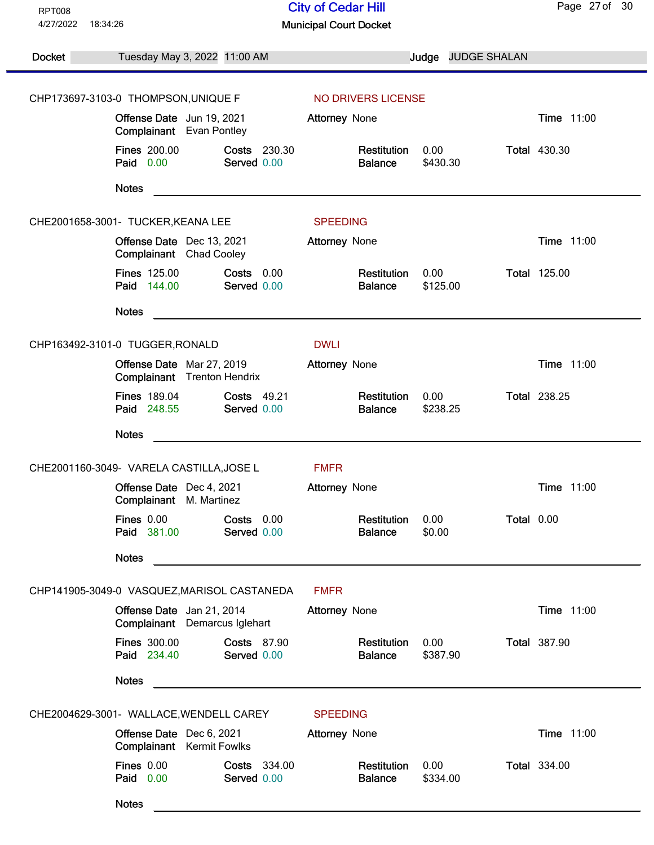| <b>RPT008</b>         |                                                                         | <b>City of Cedar Hill</b>                                     | Page 27 of 30       |
|-----------------------|-------------------------------------------------------------------------|---------------------------------------------------------------|---------------------|
| 4/27/2022<br>18:34:26 |                                                                         | <b>Municipal Court Docket</b>                                 |                     |
| Docket                | Tuesday May 3, 2022 11:00 AM                                            | Judge JUDGE SHALAN                                            |                     |
|                       | CHP173697-3103-0 THOMPSON, UNIQUE F                                     | NO DRIVERS LICENSE                                            |                     |
|                       | Offense Date Jun 19, 2021<br>Complainant Evan Pontley                   | Attorney None                                                 | Time 11:00          |
|                       | <b>Fines 200.00</b><br>Costs 230.30<br>Paid 0.00<br>Served 0.00         | Restitution<br>0.00<br>\$430.30<br><b>Balance</b>             | <b>Total 430.30</b> |
|                       | <b>Notes</b>                                                            |                                                               |                     |
|                       | CHE2001658-3001- TUCKER, KEANA LEE                                      | <b>SPEEDING</b>                                               |                     |
|                       | Offense Date Dec 13, 2021<br>Complainant Chad Cooley                    | Attorney None                                                 | Time 11:00          |
|                       | <b>Fines 125.00</b><br>Costs 0.00<br>Paid 144.00<br>Served 0.00         | Restitution<br>0.00<br><b>Balance</b><br>\$125.00             | <b>Total 125.00</b> |
|                       | <b>Notes</b>                                                            |                                                               |                     |
|                       | CHP163492-3101-0 TUGGER, RONALD                                         | <b>DWLI</b>                                                   |                     |
|                       | Offense Date Mar 27, 2019<br>Complainant Trenton Hendrix                | Attorney None                                                 | Time 11:00          |
|                       | <b>Fines 189.04</b><br><b>Costs 49.21</b><br>Paid 248.55<br>Served 0.00 | Restitution<br>0.00<br><b>Balance</b><br>\$238.25             | <b>Total 238.25</b> |
|                       | <b>Notes</b>                                                            |                                                               |                     |
|                       | CHE2001160-3049- VARELA CASTILLA, JOSE L                                | <b>FMFR</b>                                                   |                     |
|                       | Offense Date Dec 4, 2021<br>Complainant M. Martinez                     | Attorney None                                                 | Time 11:00          |
|                       | <b>Fines 0.00</b><br>Costs 0.00<br>Paid 381.00<br>Served 0.00           | 0.00<br>Total 0.00<br>Restitution<br>\$0.00<br><b>Balance</b> |                     |
|                       | <b>Notes</b>                                                            |                                                               |                     |
|                       | CHP141905-3049-0 VASQUEZ, MARISOL CASTANEDA                             | <b>FMFR</b>                                                   |                     |
|                       | Offense Date Jan 21, 2014<br>Complainant Demarcus Iglehart              | Attorney None                                                 | Time 11:00          |
|                       | <b>Fines 300.00</b><br><b>Costs 87.90</b><br>Paid 234.40<br>Served 0.00 | 0.00<br>Restitution<br>\$387.90<br><b>Balance</b>             | <b>Total 387.90</b> |
|                       | <b>Notes</b>                                                            |                                                               |                     |
|                       | CHE2004629-3001- WALLACE, WENDELL CAREY                                 | <b>SPEEDING</b>                                               |                     |
|                       | Offense Date Dec 6, 2021<br><b>Complainant</b> Kermit Fowlks            | <b>Attorney None</b>                                          | Time 11:00          |
|                       | <b>Fines 0.00</b><br>Costs 334.00<br>Paid 0.00<br>Served 0.00           | Restitution<br>0.00<br><b>Balance</b><br>\$334.00             | <b>Total 334.00</b> |
|                       | <b>Notes</b>                                                            |                                                               |                     |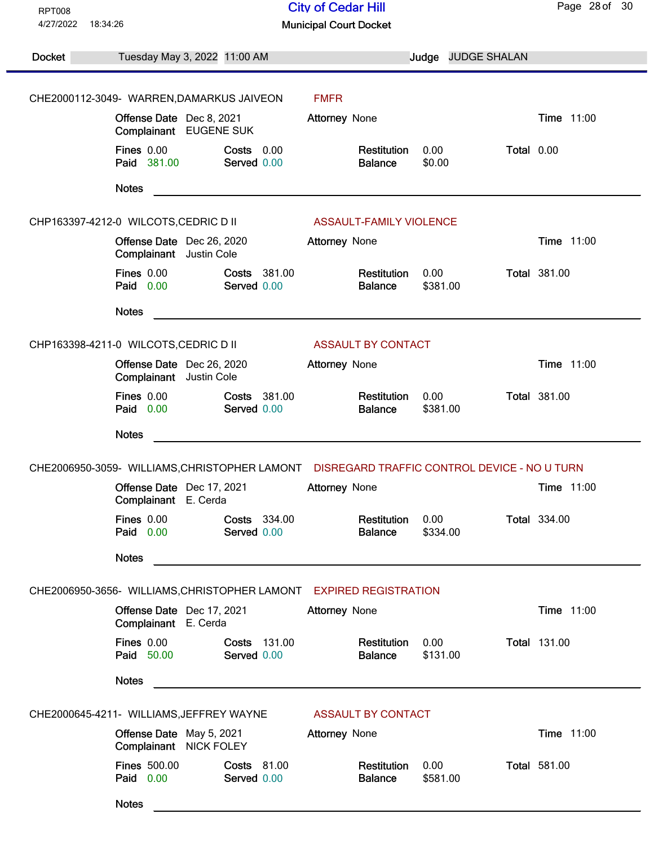| <b>RPT008</b> |                                                                       | <b>City of Cedar Hill</b>                                                                  | Page 28 of 30       |
|---------------|-----------------------------------------------------------------------|--------------------------------------------------------------------------------------------|---------------------|
| 4/27/2022     | 18:34:26                                                              | <b>Municipal Court Docket</b>                                                              |                     |
|               |                                                                       |                                                                                            |                     |
| Docket        | Tuesday May 3, 2022 11:00 AM                                          | Judge JUDGE SHALAN                                                                         |                     |
|               |                                                                       |                                                                                            |                     |
|               | CHE2000112-3049- WARREN, DAMARKUS JAIVEON                             | <b>FMFR</b>                                                                                |                     |
|               | Offense Date Dec 8, 2021<br>Complainant EUGENE SUK                    | Attorney None                                                                              | Time 11:00          |
|               | <b>Fines 0.00</b><br>Costs 0.00<br>Paid 381.00<br>Served 0.00         | Total 0.00<br>Restitution<br>0.00<br>\$0.00<br><b>Balance</b>                              |                     |
|               | <b>Notes</b>                                                          |                                                                                            |                     |
|               | CHP163397-4212-0 WILCOTS, CEDRIC D II                                 | <b>ASSAULT-FAMILY VIOLENCE</b>                                                             |                     |
|               | Offense Date Dec 26, 2020<br>Complainant Justin Cole                  | <b>Attorney None</b>                                                                       | Time 11:00          |
|               | <b>Fines 0.00</b><br>Costs 381.00<br>Paid 0.00<br>Served 0.00         | 0.00<br>Restitution<br>\$381.00<br><b>Balance</b>                                          | <b>Total 381.00</b> |
|               | <b>Notes</b>                                                          |                                                                                            |                     |
|               | CHP163398-4211-0 WILCOTS, CEDRIC D II                                 | <b>ASSAULT BY CONTACT</b>                                                                  |                     |
|               | Offense Date Dec 26, 2020<br>Complainant Justin Cole                  | <b>Attorney None</b>                                                                       | Time 11:00          |
|               | <b>Fines 0.00</b><br>Costs 381.00<br>Paid 0.00<br>Served 0.00         | 0.00<br>Restitution<br><b>Balance</b><br>\$381.00                                          | <b>Total 381.00</b> |
|               | <b>Notes</b>                                                          |                                                                                            |                     |
|               |                                                                       | CHE2006950-3059- WILLIAMS, CHRISTOPHER LAMONT DISREGARD TRAFFIC CONTROL DEVICE - NO U TURN |                     |
|               | Offense Date Dec 17, 2021<br>Complainant E. Cerda                     | Attorney None                                                                              | Time 11:00          |
|               | <b>Fines 0.00</b><br>Costs 334.00<br>Paid 0.00<br>Served 0.00         | Restitution<br>0.00<br><b>Balance</b><br>\$334.00                                          | <b>Total 334.00</b> |
|               | <b>Notes</b>                                                          |                                                                                            |                     |
|               | CHE2006950-3656- WILLIAMS, CHRISTOPHER LAMONT EXPIRED REGISTRATION    |                                                                                            |                     |
|               | Offense Date Dec 17, 2021<br>Complainant E. Cerda                     | <b>Attorney None</b>                                                                       | Time 11:00          |
|               | Fines 0.00<br>Costs 131.00<br>Paid 50.00<br>Served 0.00               | 0.00<br>Restitution<br>\$131.00<br><b>Balance</b>                                          | <b>Total 131.00</b> |
|               | <b>Notes</b>                                                          |                                                                                            |                     |
|               | CHE2000645-4211- WILLIAMS, JEFFREY WAYNE                              | <b>ASSAULT BY CONTACT</b>                                                                  |                     |
|               | Offense Date May 5, 2021<br>Complainant NICK FOLEY                    | Attorney None                                                                              | Time 11:00          |
|               | <b>Fines 500.00</b><br><b>Costs 81.00</b><br>Paid 0.00<br>Served 0.00 | Restitution<br>0.00<br>\$581.00<br><b>Balance</b>                                          | <b>Total 581.00</b> |
|               | <b>Notes</b>                                                          |                                                                                            |                     |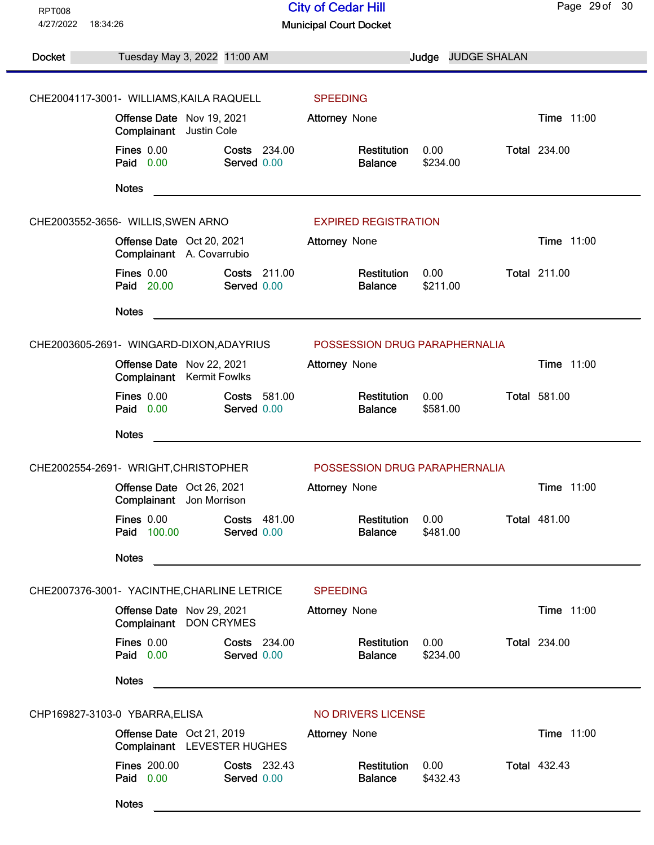| <b>RPT008</b> |                                                                 | <b>City of Cedar Hill</b>                         | Page 29 of 30       |
|---------------|-----------------------------------------------------------------|---------------------------------------------------|---------------------|
| 4/27/2022     | 18:34:26                                                        | <b>Municipal Court Docket</b>                     |                     |
|               |                                                                 |                                                   |                     |
| <b>Docket</b> | Tuesday May 3, 2022 11:00 AM                                    | Judge JUDGE SHALAN                                |                     |
|               |                                                                 |                                                   |                     |
|               | CHE2004117-3001- WILLIAMS, KAILA RAQUELL                        | <b>SPEEDING</b>                                   |                     |
|               | Offense Date Nov 19, 2021<br>Complainant Justin Cole            | <b>Attorney None</b>                              | Time 11:00          |
|               | Fines $0.00$<br><b>Costs 234.00</b><br>Paid 0.00<br>Served 0.00 | Restitution<br>0.00<br>\$234.00<br><b>Balance</b> | <b>Total 234.00</b> |
|               | <b>Notes</b>                                                    |                                                   |                     |
|               | CHE2003552-3656- WILLIS, SWEN ARNO                              | <b>EXPIRED REGISTRATION</b>                       |                     |
|               | Offense Date Oct 20, 2021<br>Complainant A. Covarrubio          | <b>Attorney None</b>                              | Time 11:00          |
|               | Fines 0.00<br>Costs 211.00<br>Paid 20.00<br>Served 0.00         | 0.00<br>Restitution<br>\$211.00<br><b>Balance</b> | <b>Total 211.00</b> |
|               | <b>Notes</b>                                                    |                                                   |                     |
|               | CHE2003605-2691- WINGARD-DIXON, ADAYRIUS                        | POSSESSION DRUG PARAPHERNALIA                     |                     |
|               | Offense Date Nov 22, 2021<br>Complainant Kermit Fowlks          | <b>Attorney None</b>                              | Time 11:00          |
|               | <b>Fines 0.00</b><br>Costs 581.00<br>Paid 0.00<br>Served 0.00   | Restitution<br>0.00<br><b>Balance</b><br>\$581.00 | <b>Total 581.00</b> |
|               | <b>Notes</b>                                                    |                                                   |                     |
|               | CHE2002554-2691- WRIGHT, CHRISTOPHER                            | POSSESSION DRUG PARAPHERNALIA                     |                     |
|               | Offense Date Oct 26, 2021<br>Complainant Jon Morrison           | <b>Attorney None</b>                              | Time 11:00          |
|               | <b>Fines 0.00</b><br>Costs 481.00<br>Paid 100.00<br>Served 0.00 | Restitution<br>0.00<br>\$481.00<br><b>Balance</b> | <b>Total 481.00</b> |
|               | <b>Notes</b>                                                    |                                                   |                     |
|               | CHE2007376-3001- YACINTHE, CHARLINE LETRICE                     | <b>SPEEDING</b>                                   |                     |
|               | Offense Date Nov 29, 2021<br>Complainant<br><b>DON CRYMES</b>   | Attorney None                                     | Time 11:00          |
|               | Fines 0.00<br>Costs 234.00<br>Paid 0.00<br>Served 0.00          | 0.00<br>Restitution<br>\$234.00<br><b>Balance</b> | <b>Total 234.00</b> |
|               | <b>Notes</b>                                                    |                                                   |                     |
|               | CHP169827-3103-0 YBARRA, ELISA                                  | NO DRIVERS LICENSE                                |                     |
|               | Offense Date Oct 21, 2019<br>Complainant LEVESTER HUGHES        | Attorney None                                     | Time 11:00          |
|               | <b>Fines 200.00</b><br>Costs 232.43<br>Paid 0.00<br>Served 0.00 | 0.00<br>Restitution<br>\$432.43<br><b>Balance</b> | <b>Total 432.43</b> |
|               | <b>Notes</b>                                                    |                                                   |                     |